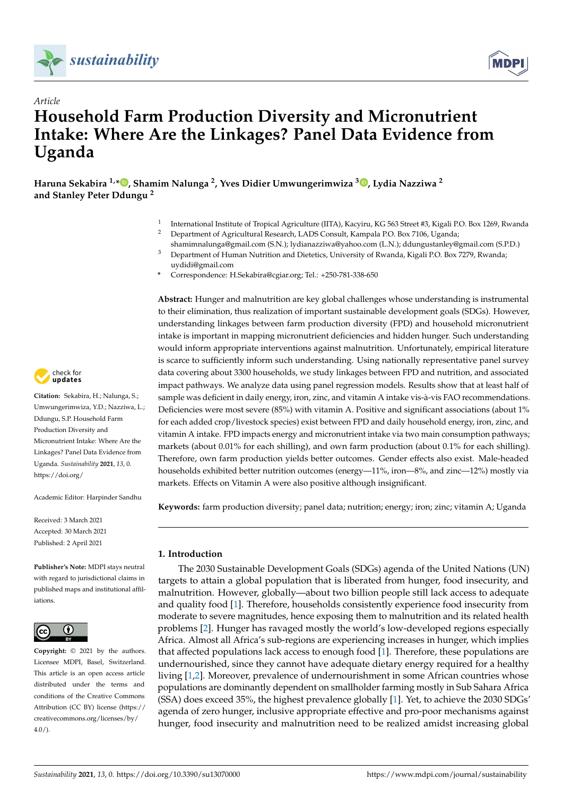



# *Article* **Household Farm Production Diversity and Micronutrient Intake: Where Are the Linkages? Panel Data Evidence from Uganda**

**Haruna Sekabira 1,\* [,](https://orcid.org/0000-0001-5675-7211) Shamim Nalunga <sup>2</sup> , Yves Didier Umwungerimwiza <sup>3</sup> [,](https://orcid.org/0000-0002-3324-0508) Lydia Nazziwa <sup>2</sup> and Stanley Peter Ddungu <sup>2</sup>**

- 1 International Institute of Tropical Agriculture (IITA), Kacyiru, KG 563 Street #3, Kigali P.O. Box 1269, Rwanda
- <sup>2</sup> Department of Agricultural Research, LADS Consult, Kampala P.O. Box 7106, Uganda;
- shamimnalunga@gmail.com (S.N.); lydianazziwa@yahoo.com (L.N.); ddungustanley@gmail.com (S.P.D.) <sup>3</sup> Department of Human Nutrition and Dietetics, University of Rwanda, Kigali P.O. Box 7279, Rwanda; uydidi@gmail.com
- **\*** Correspondence: H.Sekabira@cgiar.org; Tel.: +250-781-338-650

**Abstract:** Hunger and malnutrition are key global challenges whose understanding is instrumental to their elimination, thus realization of important sustainable development goals (SDGs). However, understanding linkages between farm production diversity (FPD) and household micronutrient intake is important in mapping micronutrient deficiencies and hidden hunger. Such understanding would inform appropriate interventions against malnutrition. Unfortunately, empirical literature is scarce to sufficiently inform such understanding. Using nationally representative panel survey data covering about 3300 households, we study linkages between FPD and nutrition, and associated impact pathways. We analyze data using panel regression models. Results show that at least half of sample was deficient in daily energy, iron, zinc, and vitamin A intake vis-à-vis FAO recommendations. Deficiencies were most severe (85%) with vitamin A. Positive and significant associations (about 1%) for each added crop/livestock species) exist between FPD and daily household energy, iron, zinc, and vitamin A intake. FPD impacts energy and micronutrient intake via two main consumption pathways; markets (about 0.01% for each shilling), and own farm production (about 0.1% for each shilling). Therefore, own farm production yields better outcomes. Gender effects also exist. Male-headed households exhibited better nutrition outcomes (energy—11%, iron—8%, and zinc—12%) mostly via markets. Effects on Vitamin A were also positive although insignificant.

**Keywords:** farm production diversity; panel data; nutrition; energy; iron; zinc; vitamin A; Uganda

#### **1. Introduction**

The 2030 Sustainable Development Goals (SDGs) agenda of the United Nations (UN) targets to attain a global population that is liberated from hunger, food insecurity, and malnutrition. However, globally—about two billion people still lack access to adequate and quality food [\[1\]](#page-19-0). Therefore, households consistently experience food insecurity from moderate to severe magnitudes, hence exposing them to malnutrition and its related health problems [\[2\]](#page-19-1). Hunger has ravaged mostly the world's low-developed regions especially Africa. Almost all Africa's sub-regions are experiencing increases in hunger, which implies that affected populations lack access to enough food [\[1\]](#page-19-0). Therefore, these populations are undernourished, since they cannot have adequate dietary energy required for a healthy living [\[1,](#page-19-0)[2\]](#page-19-1). Moreover, prevalence of undernourishment in some African countries whose populations are dominantly dependent on smallholder farming mostly in Sub Sahara Africa (SSA) does exceed 35%, the highest prevalence globally [\[1\]](#page-19-0). Yet, to achieve the 2030 SDGs' agenda of zero hunger, inclusive appropriate effective and pro-poor mechanisms against hunger, food insecurity and malnutrition need to be realized amidst increasing global



**Citation:** Sekabira, H.; Nalunga, S.; Umwungerimwiza, Y.D.; Nazziwa, L.; Ddungu, S.P. Household Farm Production Diversity and Micronutrient Intake: Where Are the Linkages? Panel Data Evidence from Uganda. *Sustainability* **2021**, *13*, 0. [https://doi.org/](https://doi.org/10.3390/su13070000)

Academic Editor: Harpinder Sandhu

Received: 3 March 2021 Accepted: 30 March 2021 Published: 2 April 2021

**Publisher's Note:** MDPI stays neutral with regard to jurisdictional claims in published maps and institutional affiliations.



**Copyright:** © 2021 by the authors. Licensee MDPI, Basel, Switzerland. This article is an open access article distributed under the terms and conditions of the Creative Commons Attribution (CC BY) license (https:/[/](https://creativecommons.org/licenses/by/4.0/) [creativecommons.org/licenses/by/](https://creativecommons.org/licenses/by/4.0/)  $4.0/$ ).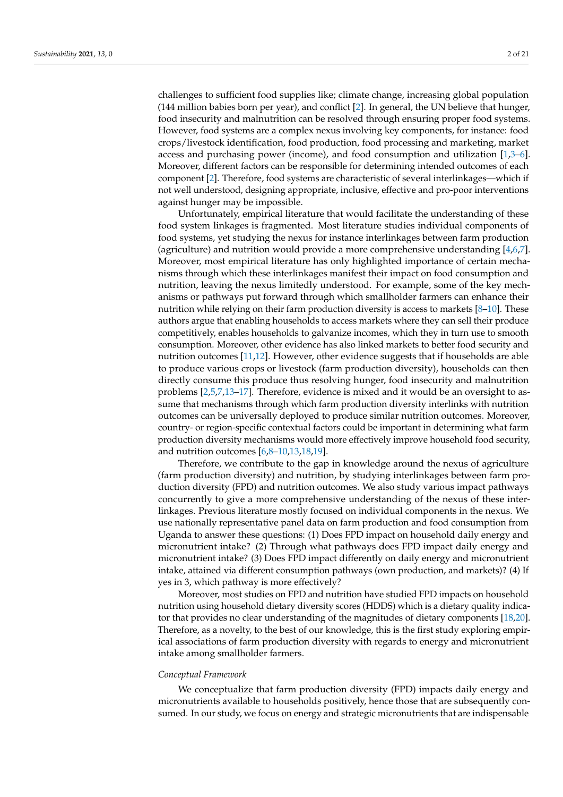challenges to sufficient food supplies like; climate change, increasing global population (144 million babies born per year), and conflict [\[2\]](#page-19-1). In general, the UN believe that hunger, food insecurity and malnutrition can be resolved through ensuring proper food systems. However, food systems are a complex nexus involving key components, for instance: food crops/livestock identification, food production, food processing and marketing, market access and purchasing power (income), and food consumption and utilization [\[1,](#page-19-0)[3](#page-19-2)[–6\]](#page-19-3). Moreover, different factors can be responsible for determining intended outcomes of each component [\[2\]](#page-19-1). Therefore, food systems are characteristic of several interlinkages—which if not well understood, designing appropriate, inclusive, effective and pro-poor interventions against hunger may be impossible.

Unfortunately, empirical literature that would facilitate the understanding of these food system linkages is fragmented. Most literature studies individual components of food systems, yet studying the nexus for instance interlinkages between farm production (agriculture) and nutrition would provide a more comprehensive understanding [\[4,](#page-19-4)[6,](#page-19-3)[7\]](#page-20-0). Moreover, most empirical literature has only highlighted importance of certain mechanisms through which these interlinkages manifest their impact on food consumption and nutrition, leaving the nexus limitedly understood. For example, some of the key mechanisms or pathways put forward through which smallholder farmers can enhance their nutrition while relying on their farm production diversity is access to markets [\[8](#page-20-1)[–10\]](#page-20-2). These authors argue that enabling households to access markets where they can sell their produce competitively, enables households to galvanize incomes, which they in turn use to smooth consumption. Moreover, other evidence has also linked markets to better food security and nutrition outcomes [\[11,](#page-20-3)[12\]](#page-20-4). However, other evidence suggests that if households are able to produce various crops or livestock (farm production diversity), households can then directly consume this produce thus resolving hunger, food insecurity and malnutrition problems [\[2,](#page-19-1)[5,](#page-19-5)[7](#page-20-0)[,13–](#page-20-5)[17\]](#page-20-6). Therefore, evidence is mixed and it would be an oversight to assume that mechanisms through which farm production diversity interlinks with nutrition outcomes can be universally deployed to produce similar nutrition outcomes. Moreover, country- or region-specific contextual factors could be important in determining what farm production diversity mechanisms would more effectively improve household food security, and nutrition outcomes [\[6,](#page-19-3)[8–](#page-20-1)[10](#page-20-2)[,13](#page-20-5)[,18](#page-20-7)[,19\]](#page-20-8).

Therefore, we contribute to the gap in knowledge around the nexus of agriculture (farm production diversity) and nutrition, by studying interlinkages between farm production diversity (FPD) and nutrition outcomes. We also study various impact pathways concurrently to give a more comprehensive understanding of the nexus of these interlinkages. Previous literature mostly focused on individual components in the nexus. We use nationally representative panel data on farm production and food consumption from Uganda to answer these questions: (1) Does FPD impact on household daily energy and micronutrient intake? (2) Through what pathways does FPD impact daily energy and micronutrient intake? (3) Does FPD impact differently on daily energy and micronutrient intake, attained via different consumption pathways (own production, and markets)? (4) If yes in 3, which pathway is more effectively?

Moreover, most studies on FPD and nutrition have studied FPD impacts on household nutrition using household dietary diversity scores (HDDS) which is a dietary quality indicator that provides no clear understanding of the magnitudes of dietary components [\[18](#page-20-7)[,20\]](#page-20-9). Therefore, as a novelty, to the best of our knowledge, this is the first study exploring empirical associations of farm production diversity with regards to energy and micronutrient intake among smallholder farmers.

#### *Conceptual Framework*

We conceptualize that farm production diversity (FPD) impacts daily energy and micronutrients available to households positively, hence those that are subsequently consumed. In our study, we focus on energy and strategic micronutrients that are indispensable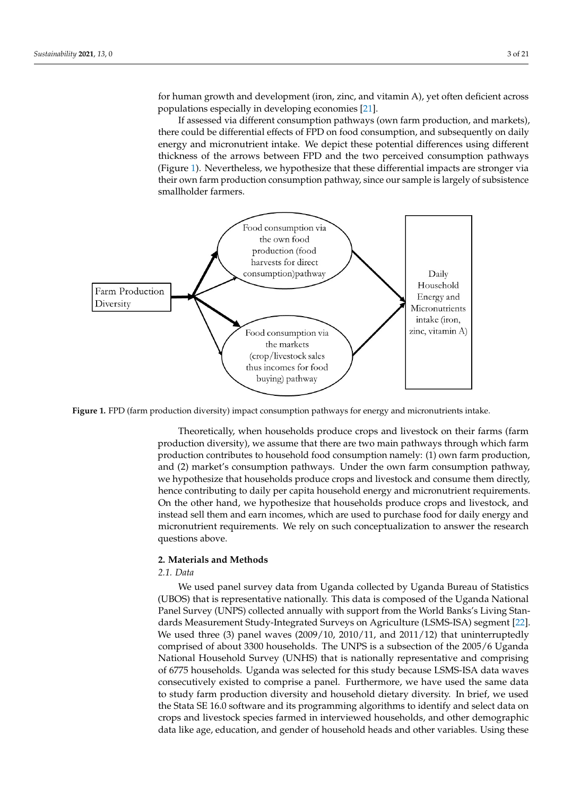for human growth and development (iron, zinc, and vitamin A), yet often deficient across populations especially in developing economies [\[21\]](#page-20-10).

If assessed via different consumption pathways (own farm production, and markets), there could be differential effects of FPD on food consumption, and subsequently on daily energy and micronutrient intake. We depict these potential differences using different thickness of the arrows between FPD and the two perceived consumption pathways (Figure [1\)](#page-2-0). Nevertheless, we hypothesize that these differential impacts are stronger via their own farm production consumption pathway, since our sample is largely of subsistence smallholder farmers. smallholder farmers.  $\alpha$  be unferential effects of  $\alpha$  b on food consumption, and subsequently own farm production consumption pathway, since our sample is largely of subsistence

<span id="page-2-0"></span>

Figure 1. FPD (farm production diversity) impact consumption pathways for energy and micronutrients intake.

Theoretically, when households produce crops and livestock on their farms (farm Theoretically, when households produce crops and livestock on their farms (farm production diversity), we assume that there are two main pathways through which farm production contributes to household food consumption namely: (1) own farm production, and (2) market's consumption pathways. Under the own farm consumption pathway, we hypothesize that households produce crops and livestock and consume them directly, On the other hand, we hypothesize that households produce crops and livestock, and inhence contributing to daily per capita household energy and micronutrient requirements. On the other hand, we hypothesize that households produce crops and livestock, and instead sell them and earn incomes, which are used to purchase food for daily energy and micronutrient requirements. We rely on such conceptualization to answer the research *2.1. Data*  questions above.

#### 2. Materials and Methods **Exercise 2. Materials and Methods** (UBS) that is representative nationally. This data is representative nationally. This data is composed of the Uganda Nationally. This data is composed of the Uganda Nationally. The Uganda Nationally,  $\mathcal{L}(\mathcal{L})$

#### $P$ uth survey (UNPS) collected annually with support from the World Banks's Living  $\mathcal{L}$  Living  $\mathcal{L}$  Living  $\mathcal{L}$  Living  $\mathcal{L}$  Living  $\mathcal{L}$  Living  $\mathcal{L}$  Living  $\mathcal{L}$  Living  $\mathcal{L}$  Living  $\mathcal{L}$  L *2.1. Data*

We used panel survey data from Uganda collected by Uganda Bureau of Statistics (UBOS) that is representative nationally. This data is composed of the Uganda National Panel Survey (UNPS) collected annually with support from the World Banks's Living Standards Measurement Study-Integrated Surveys on Agriculture (LSMS-ISA) segment [\[22\]](#page-20-11). We used three (3) panel waves (2009/10, 2010/11, and 2011/12) that uninterruptedly comprised of about 3300 households. The UNPS is a subsection of the 2005/6 Uganda National Household Survey (UNHS) that is nationally representative and comprising of 6775 households. Uganda was selected for this study because LSMS-ISA data waves consecutively existed to comprise a panel. Furthermore, we have used the same data to study farm production diversity and household dietary diversity. In brief, we used the Stata SE 16.0 software and its programming algorithms to identify and select data on crops and livestock species farmed in interviewed households, and other demographic data like age, education, and gender of household heads and other variables. Using these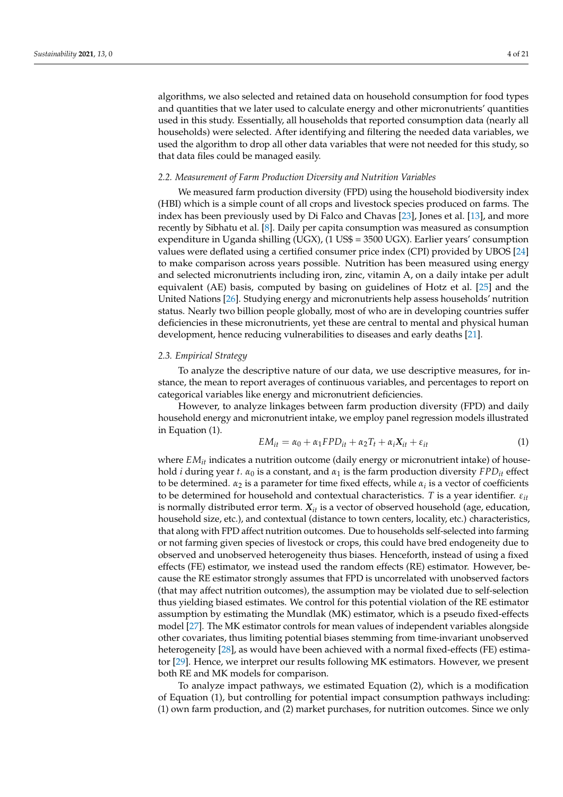algorithms, we also selected and retained data on household consumption for food types and quantities that we later used to calculate energy and other micronutrients' quantities used in this study. Essentially, all households that reported consumption data (nearly all households) were selected. After identifying and filtering the needed data variables, we used the algorithm to drop all other data variables that were not needed for this study, so that data files could be managed easily.

#### *2.2. Measurement of Farm Production Diversity and Nutrition Variables*

We measured farm production diversity (FPD) using the household biodiversity index (HBI) which is a simple count of all crops and livestock species produced on farms. The index has been previously used by Di Falco and Chavas [\[23\]](#page-20-12), Jones et al. [\[13\]](#page-20-5), and more recently by Sibhatu et al. [\[8\]](#page-20-1). Daily per capita consumption was measured as consumption expenditure in Uganda shilling (UGX), (1 US\$ = 3500 UGX). Earlier years' consumption values were deflated using a certified consumer price index (CPI) provided by UBOS [\[24\]](#page-20-13) to make comparison across years possible. Nutrition has been measured using energy and selected micronutrients including iron, zinc, vitamin A, on a daily intake per adult equivalent (AE) basis, computed by basing on guidelines of Hotz et al. [\[25\]](#page-20-14) and the United Nations [\[26\]](#page-20-15). Studying energy and micronutrients help assess households' nutrition status. Nearly two billion people globally, most of who are in developing countries suffer deficiencies in these micronutrients, yet these are central to mental and physical human development, hence reducing vulnerabilities to diseases and early deaths [\[21\]](#page-20-10).

#### *2.3. Empirical Strategy*

To analyze the descriptive nature of our data, we use descriptive measures, for instance, the mean to report averages of continuous variables, and percentages to report on categorical variables like energy and micronutrient deficiencies.

However, to analyze linkages between farm production diversity (FPD) and daily household energy and micronutrient intake, we employ panel regression models illustrated in Equation (1).

$$
EM_{it} = \alpha_0 + \alpha_1 FPD_{it} + \alpha_2 T_t + \alpha_i X_{it} + \varepsilon_{it}
$$
\n<sup>(1)</sup>

where  $EM_{it}$  indicates a nutrition outcome (daily energy or micronutrient intake) of household *i* during year *t*.  $\alpha_0$  is a constant, and  $\alpha_1$  is the farm production diversity *FPD<sub>it</sub>* effect to be determined.  $α_2$  is a parameter for time fixed effects, while  $α_i$  is a vector of coefficients to be determined for household and contextual characteristics. *T* is a year identifier. *εit* is normally distributed error term.  $X_{it}$  is a vector of observed household (age, education, household size, etc.), and contextual (distance to town centers, locality, etc.) characteristics, that along with FPD affect nutrition outcomes. Due to households self-selected into farming or not farming given species of livestock or crops, this could have bred endogeneity due to observed and unobserved heterogeneity thus biases. Henceforth, instead of using a fixed effects (FE) estimator, we instead used the random effects (RE) estimator. However, because the RE estimator strongly assumes that FPD is uncorrelated with unobserved factors (that may affect nutrition outcomes), the assumption may be violated due to self-selection thus yielding biased estimates. We control for this potential violation of the RE estimator assumption by estimating the Mundlak (MK) estimator, which is a pseudo fixed-effects model [\[27\]](#page-20-16). The MK estimator controls for mean values of independent variables alongside other covariates, thus limiting potential biases stemming from time-invariant unobserved heterogeneity [\[28\]](#page-20-17), as would have been achieved with a normal fixed-effects (FE) estimator [\[29\]](#page-20-18). Hence, we interpret our results following MK estimators. However, we present both RE and MK models for comparison.

To analyze impact pathways, we estimated Equation (2), which is a modification of Equation (1), but controlling for potential impact consumption pathways including: (1) own farm production, and (2) market purchases, for nutrition outcomes. Since we only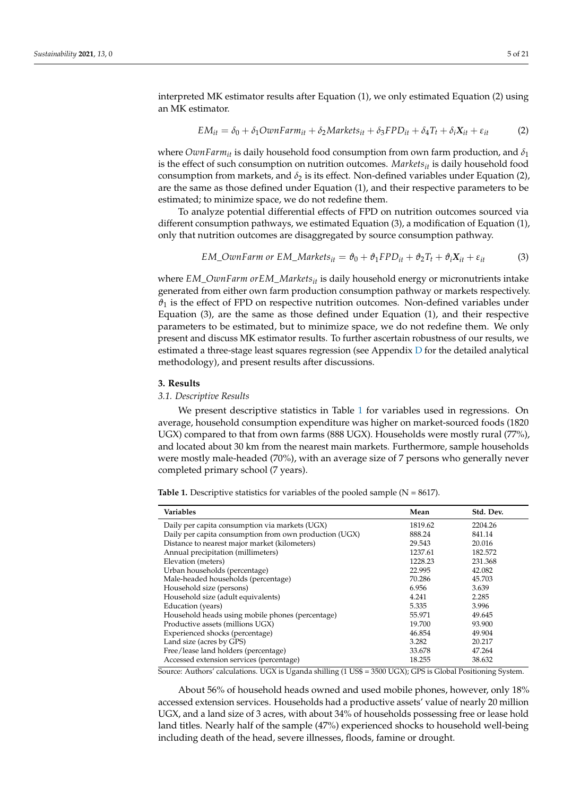interpreted MK estimator results after Equation (1), we only estimated Equation (2) using an MK estimator.

$$
EM_{it} = \delta_0 + \delta_1 OwnFarm_{it} + \delta_2 Markets_{it} + \delta_3 FPD_{it} + \delta_4 T_t + \delta_i X_{it} + \varepsilon_{it}
$$
 (2)

where *OwnFarm*<sub>*it*</sub> is daily household food consumption from own farm production, and  $\delta_1$ is the effect of such consumption on nutrition outcomes. *Marketsit* is daily household food consumption from markets, and  $\delta_2$  is its effect. Non-defined variables under Equation (2), are the same as those defined under Equation (1), and their respective parameters to be estimated; to minimize space, we do not redefine them.

To analyze potential differential effects of FPD on nutrition outcomes sourced via different consumption pathways, we estimated Equation (3), a modification of Equation (1), only that nutrition outcomes are disaggregated by source consumption pathway.

$$
EM\_OwnFarm \text{ or } EM\_Markets_{it} = \vartheta_0 + \vartheta_1 FPD_{it} + \vartheta_2 T_t + \vartheta_i X_{it} + \varepsilon_{it}
$$
(3)

where *EM*\_*OwnFarm orEM*\_*Marketsit* is daily household energy or micronutrients intake generated from either own farm production consumption pathway or markets respectively.  $\vartheta_1$  is the effect of FPD on respective nutrition outcomes. Non-defined variables under Equation (3), are the same as those defined under Equation (1), and their respective parameters to be estimated, but to minimize space, we do not redefine them. We only present and discuss MK estimator results. To further ascertain robustness of our results, we estimated a three-stage least squares regression (see Appendix  $D$  for the detailed analytical methodology), and present results after discussions.

#### **3. Results**

#### *3.1. Descriptive Results*

We present descriptive statistics in Table [1](#page-4-0) for variables used in regressions. On average, household consumption expenditure was higher on market-sourced foods (1820 UGX) compared to that from own farms (888 UGX). Households were mostly rural (77%), and located about 30 km from the nearest main markets. Furthermore, sample households were mostly male-headed (70%), with an average size of 7 persons who generally never completed primary school (7 years).

| <b>Variables</b>                                       | Mean    | Std. Dev. |
|--------------------------------------------------------|---------|-----------|
| Daily per capita consumption via markets (UGX)         | 1819.62 | 2204.26   |
| Daily per capita consumption from own production (UGX) | 888.24  | 841.14    |
| Distance to nearest major market (kilometers)          | 29.543  | 20.016    |
| Annual precipitation (millimeters)                     | 1237.61 | 182.572   |
| Elevation (meters)                                     | 1228.23 | 231.368   |
| Urban households (percentage)                          | 22.995  | 42.082    |
| Male-headed households (percentage)                    | 70.286  | 45.703    |
| Household size (persons)                               | 6.956   | 3.639     |
| Household size (adult equivalents)                     | 4.241   | 2.285     |
| Education (years)                                      | 5.335   | 3.996     |
| Household heads using mobile phones (percentage)       | 55.971  | 49.645    |
| Productive assets (millions UGX)                       | 19.700  | 93.900    |
| Experienced shocks (percentage)                        | 46.854  | 49.904    |
| Land size (acres by GPS)                               | 3.282   | 20.217    |
| Free/lease land holders (percentage)                   | 33.678  | 47.264    |
| Accessed extension services (percentage)               | 18.255  | 38.632    |

<span id="page-4-0"></span>**Table 1.** Descriptive statistics for variables of the pooled sample  $(N = 8617)$ .

Source: Authors' calculations. UGX is Uganda shilling (1 US\$ = 3500 UGX); GPS is Global Positioning System.

About 56% of household heads owned and used mobile phones, however, only 18% accessed extension services. Households had a productive assets' value of nearly 20 million UGX, and a land size of 3 acres, with about 34% of households possessing free or lease hold land titles. Nearly half of the sample (47%) experienced shocks to household well-being including death of the head, severe illnesses, floods, famine or drought.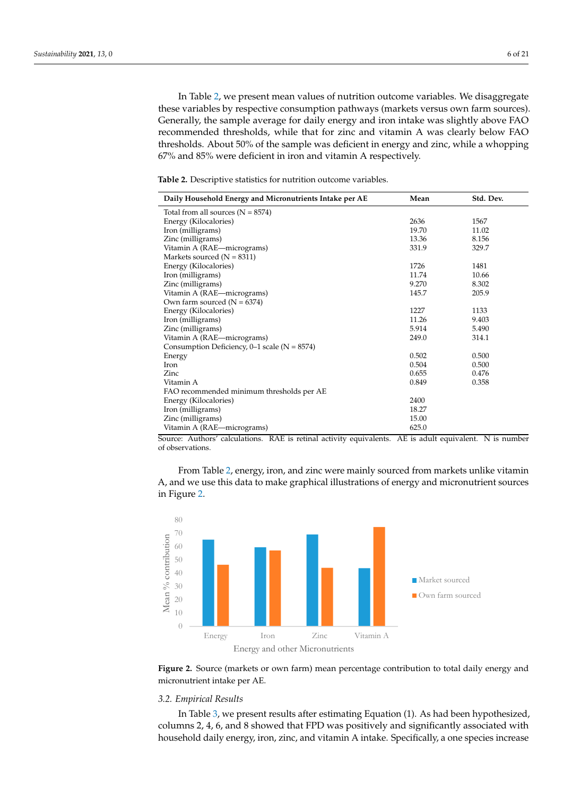In Table [2,](#page-5-0) we present mean values of nutrition outcome variables. We disaggregate these variables by respective consumption pathways (markets versus own farm sources). Generally, the sample average for daily energy and iron intake was slightly above FAO recommended thresholds, while that for zinc and vitamin A was clearly below FAO thresholds. About 50% of the sample was deficient in energy and zinc, while a whopping 67% and 85% were deficient in iron and vitamin A respectively.

| Daily Household Energy and Micronutrients Intake per AE | Mean  | Std. Dev. |
|---------------------------------------------------------|-------|-----------|
| Total from all sources $(N = 8574)$                     |       |           |
| Energy (Kilocalories)                                   | 2636  | 1567      |
| Iron (milligrams)                                       | 19.70 | 11.02     |
| Zinc (milligrams)                                       | 13.36 | 8.156     |
| Vitamin A (RAE—micrograms)                              | 331.9 | 329.7     |
| Markets sourced $(N = 8311)$                            |       |           |
| Energy (Kilocalories)                                   | 1726  | 1481      |
| Iron (milligrams)                                       | 11.74 | 10.66     |
| Zinc (milligrams)                                       | 9.270 | 8.302     |
| Vitamin A (RAE-micrograms)                              | 145.7 | 205.9     |
| Own farm sourced ( $N = 6374$ )                         |       |           |
| Energy (Kilocalories)                                   | 1227  | 1133      |
| Iron (milligrams)                                       | 11.26 | 9.403     |
| Zinc (milligrams)                                       | 5.914 | 5.490     |
| Vitamin A (RAE—micrograms)                              | 249.0 | 314.1     |
| Consumption Deficiency, $0-1$ scale (N = 8574)          |       |           |
| Energy                                                  | 0.502 | 0.500     |
| Iron                                                    | 0.504 | 0.500     |
| Zinc                                                    | 0.655 | 0.476     |
| Vitamin A                                               | 0.849 | 0.358     |
| FAO recommended minimum thresholds per AE               |       |           |
| Energy (Kilocalories)                                   | 2400  |           |
| Iron (milligrams)                                       | 18.27 |           |
| Zinc (milligrams)                                       | 15.00 |           |
| Vitamin A (RAE—micrograms)                              | 625.0 |           |
|                                                         |       |           |

<span id="page-5-0"></span>**Table 2.** Descriptive statistics for nutrition outcome variables.

Source: Authors' calculations. RAE is retinal activity equivalents. AE is adult equivalent. N is number of observations.

From Table 2[, e](#page-5-0)nergy, iron, and zinc were mainly sourced from markets unlike vitamin A, and we use this data to make graphical illustrations of energy and micronutrient sources in [Fig](#page-5-1)ure 2.

<span id="page-5-1"></span>

micronutrient intake per AE. micronutrient intake per AE. **Figure 2.** Source (markets or own farm) mean percentage contribution to total daily energy and

#### *3.2. Empirical Results*

In Table 3, we present results after estimating Equation (1). As had been hypothesized, columns 2, 4, 6, and 8 showed that FPD was positively and significantly associated with household daily energy, iron, zinc, and vitamin A intake. Specifically, a one species increase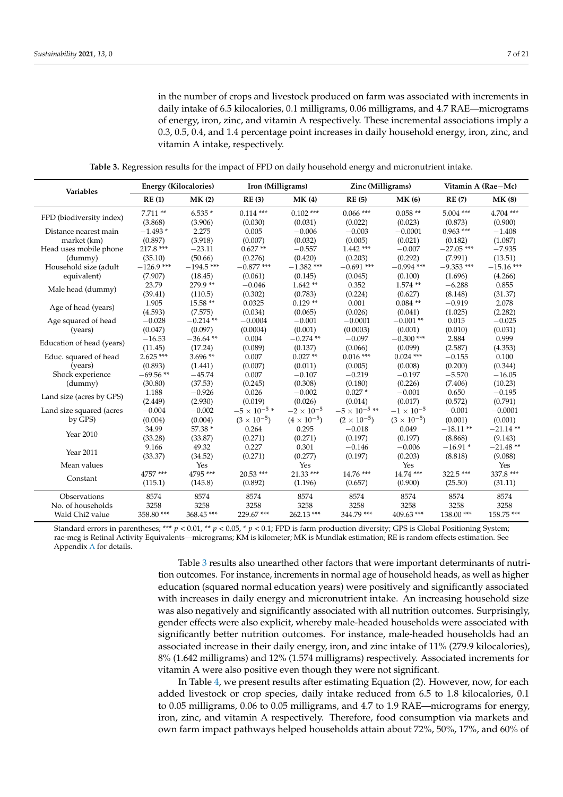in the number of crops and livestock produced on farm was associated with increments in daily intake of 6.5 kilocalories, 0.1 milligrams, 0.06 milligrams, and 4.7 RAE—micrograms of energy, iron, zinc, and vitamin A respectively. These incremental associations imply a 0.3, 0.5, 0.4, and 1.4 percentage point increases in daily household energy, iron, zinc, and vitamin A intake, respectively.

**Table 3.** Regression results for the impact of FPD on daily household energy and micronutrient intake.

<span id="page-6-0"></span>

| <b>Variables</b>            | <b>Energy (Kilocalories)</b> |                     | Iron (Milligrams)     |                        | Zinc (Milligrams)      |                      | Vitamin A (Rae-Mc)     |                        |
|-----------------------------|------------------------------|---------------------|-----------------------|------------------------|------------------------|----------------------|------------------------|------------------------|
|                             | RE(1)                        | MK(2)               | RE(3)                 | MK(4)                  | RE(5)                  | MK(6)                | RE(7)                  | <b>MK (8)</b>          |
| FPD (biodiversity index)    | $7.711**$<br>(3.868)         | $6.535*$<br>(3.906) | $0.114***$<br>(0.030) | $0.102$ ***<br>(0.031) | $0.066$ ***<br>(0.022) | $0.058**$<br>(0.023) | $5.004$ ***<br>(0.873) | $4.704$ ***<br>(0.900) |
| Distance nearest main       | $-1.493*$                    | 2.275               | 0.005                 | $-0.006$               | $-0.003$               | $-0.0001$            | $0.963***$             | $-1.408$               |
| market (km)                 | (0.897)                      | (3.918)             | (0.007)               | (0.032)                | (0.005)                | (0.021)              | (0.182)                | (1.087)                |
| Head uses mobile phone      | $217.8***$                   | $-23.11$            | $0.627**$             | $-0.557$               | $1.442$ ***            | $-0.007$             | $-27.05$ ***           | $-7.935$               |
| (dummy)                     | (35.10)                      | (50.66)             | (0.276)               | (0.420)                | (0.203)                | (0.292)              | (7.991)                | (13.51)                |
| Household size (adult       | $-126.9$ ***                 | $-194.5$ ***        | $-0.877$ ***          | $-1.382$ ***           | $-0.691$ ***           | $-0.994$ ***         | $-9.353$ ***           | $-15.16$ ***           |
| equivalent)                 | (7.907)                      | (18.45)             | (0.061)               | (0.145)                | (0.045)                | (0.100)              | (1.696)                | (4.266)                |
| Male head (dummy)           | 23.79                        | 279.9**             | $-0.046$              | $1.642**$              | 0.352                  | $1.574**$            | $-6.288$               | 0.855                  |
|                             | (39.41)                      | (110.5)             | (0.302)               | (0.783)                | (0.224)                | (0.627)              | (8.148)                | (31.37)                |
| Age of head (years)         | 1.905                        | $15.58**$           | 0.0325                | $0.129**$              | 0.001                  | $0.084**$            | $-0.919$               | 2.078                  |
|                             | (4.593)                      | (7.575)             | (0.034)               | (0.065)                | (0.026)                | (0.041)              | (1.025)                | (2.282)                |
| Age squared of head         | $-0.028$                     | $-0.214$ **         | $-0.0004$             | $-0.001$               | $-0.0001$              | $-0.001**$           | 0.015                  | $-0.025$               |
| (years)                     | (0.047)                      | (0.097)             | (0.0004)              | (0.001)                | (0.0003)               | (0.001)              | (0.010)                | (0.031)                |
| Education of head (years)   | $-16.53$                     | $-36.64$ **         | 0.004                 | $-0.274$ **            | $-0.097$               | $-0.300$ ***         | 2.884                  | 0.999                  |
|                             | (11.45)                      | (17.24)             | (0.089)               | (0.137)                | (0.066)                | (0.099)              | (2.587)                | (4.353)                |
| Educ. squared of head       | $2.625***$                   | $3.696**$           | 0.007                 | $0.027**$              | $0.016$ ***            | $0.024$ ***          | $-0.155$               | 0.100                  |
| (years)                     | (0.893)                      | (1.441)             | (0.007)               | (0.011)                | (0.005)                | (0.008)              | (0.200)                | (0.344)                |
| Shock experience            | $-69.56**$                   | $-45.74$            | 0.007                 | $-0.107$               | $-0.219$               | $-0.197$             | $-5.570$               | $-16.05$               |
| (dummy)                     | (30.80)                      | (37.53)             | (0.245)               | (0.308)                | (0.180)                | (0.226)              | (7.406)                | (10.23)                |
| Land size (acres by GPS)    | 1.188                        | $-0.926$            | 0.026                 | $-0.002$               | $0.027*$               | $-0.001$             | 0.650                  | $-0.195$               |
|                             | (2.449)                      | (2.930)             | (0.019)               | (0.026)                | (0.014)                | (0.017)              | (0.572)                | (0.791)                |
| Land size squared (acres    | $-0.004$                     | $-0.002$            | $-5\times10^{-5}$ *   | $-2\times10^{-5}$      | $-5\times10^{-5}$ **   | $-1 \times 10^{-5}$  | $-0.001$               | $-0.0001$              |
| by GPS)                     | (0.004)                      | (0.004)             | $(3 \times 10^{-5})$  | $(4 \times 10^{-5})$   | $(2 \times 10^{-5})$   | $(3 \times 10^{-5})$ | (0.001)                | (0.001)                |
|                             | 34.99                        | 57.38 *             | 0.264                 | 0.295                  | $-0.018$               | 0.049                | $-18.11**$             | $-21.14$ **            |
| Year 2010                   | (33.28)                      | (33.87)             | (0.271)               | (0.271)                | (0.197)                | (0.197)              | (8.868)                | (9.143)                |
|                             | 9.166                        | 49.32               | 0.227                 | 0.301                  | $-0.146$               | $-0.006$             | $-16.91*$              | $-21.48**$             |
| Year 2011                   | (33.37)                      | (34.52)             | (0.271)               | (0.277)                | (0.197)                | (0.203)              | (8.818)                | (9.088)                |
| Mean values                 |                              | Yes                 |                       | Yes                    |                        | Yes                  |                        | Yes                    |
|                             | 4757 ***                     | 4795 ***            | $20.53$ ***           | $21.33***$             | 14.76 ***              | 14.74 ***            | $322.5***$             | 337.8 ***              |
| Constant                    | (115.1)                      | (145.8)             | (0.892)               | (1.196)                | (0.657)                | (0.900)              | (25.50)                | (31.11)                |
| Observations                | 8574                         | 8574                | 8574                  | 8574                   | 8574                   | 8574                 | 8574                   | 8574                   |
| No. of households           | 3258                         | 3258                | 3258                  | 3258                   | 3258                   | 3258                 | 3258                   | 3258                   |
| Wald Chi <sub>2</sub> value | 358.80***                    | 368.45***           | 229.67***             | 262.13***              | 344.79 ***             | $409.63$ ***         | 138.00***              | 158.75***              |

Standard errors in parentheses; \*\*\*  $p < 0.01$ , \*\*  $p < 0.05$ , \*  $p < 0.1$ ; FPD is farm production diversity; GPS is Global Positioning System; rae-mcg is Retinal Activity Equivalents—micrograms; KM is kilometer; MK is Mundlak estimation; RE is random effects estimation. See Appendix [A](#page-12-0) for details.

> Table [3](#page-6-0) results also unearthed other factors that were important determinants of nutrition outcomes. For instance, increments in normal age of household heads, as well as higher education (squared normal education years) were positively and significantly associated with increases in daily energy and micronutrient intake. An increasing household size was also negatively and significantly associated with all nutrition outcomes. Surprisingly, gender effects were also explicit, whereby male-headed households were associated with significantly better nutrition outcomes. For instance, male-headed households had an associated increase in their daily energy, iron, and zinc intake of 11% (279.9 kilocalories), 8% (1.642 milligrams) and 12% (1.574 milligrams) respectively. Associated increments for vitamin A were also positive even though they were not significant.

> In Table [4,](#page-7-0) we present results after estimating Equation (2). However, now, for each added livestock or crop species, daily intake reduced from 6.5 to 1.8 kilocalories, 0.1 to 0.05 milligrams, 0.06 to 0.05 milligrams, and 4.7 to 1.9 RAE—micrograms for energy, iron, zinc, and vitamin A respectively. Therefore, food consumption via markets and own farm impact pathways helped households attain about 72%, 50%, 17%, and 60% of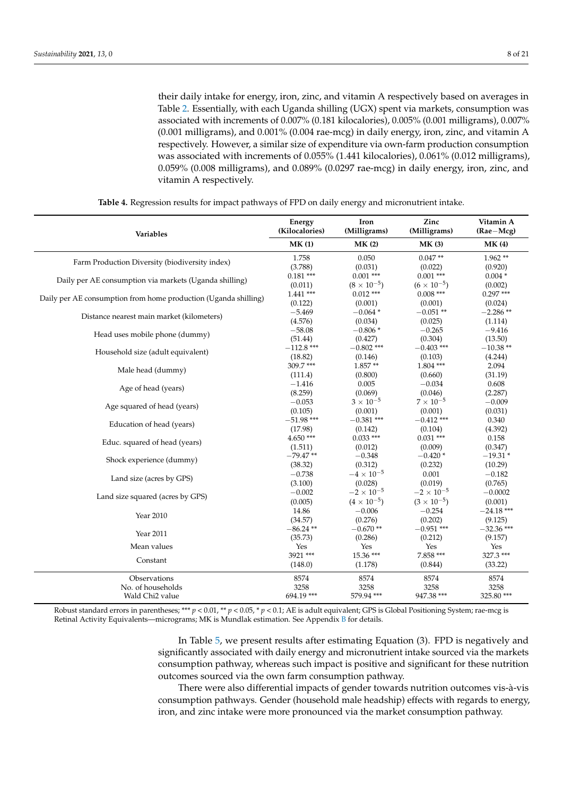their daily intake for energy, iron, zinc, and vitamin A respectively based on averages in Table [2.](#page-5-0) Essentially, with each Uganda shilling (UGX) spent via markets, consumption was associated with increments of 0.007% (0.181 kilocalories), 0.005% (0.001 milligrams), 0.007% (0.001 milligrams), and 0.001% (0.004 rae-mcg) in daily energy, iron, zinc, and vitamin A respectively. However, a similar size of expenditure via own-farm production consumption was associated with increments of 0.055% (1.441 kilocalories), 0.061% (0.012 milligrams), 0.059% (0.008 milligrams), and 0.089% (0.0297 rae-mcg) in daily energy, iron, zinc, and vitamin A respectively.

<span id="page-7-0"></span>

| Variables                                                       | Energy<br>(Kilocalories) | Iron<br>(Milligrams) | Zinc<br>(Milligrams) | Vitamin A<br>$(Rae-Mcg)$ |
|-----------------------------------------------------------------|--------------------------|----------------------|----------------------|--------------------------|
|                                                                 | MK(1)                    | MK(2)                | MK(3)                | MK(4)                    |
| Farm Production Diversity (biodiversity index)                  | 1.758                    | 0.050                | $0.047**$            | $1.962**$                |
|                                                                 | (3.788)                  | (0.031)              | (0.022)              | (0.920)                  |
| Daily per AE consumption via markets (Uganda shilling)          | $0.181***$               | $0.001$ ***          | $0.001$ ***          | $0.004*$                 |
|                                                                 | (0.011)                  | $(8 \times 10^{-5})$ | $(6 \times 10^{-5})$ | (0.002)                  |
| Daily per AE consumption from home production (Uganda shilling) | $1.441$ ***              | $0.012$ ***          | $0.008$ ***          | $0.297***$               |
|                                                                 | (0.122)                  | (0.001)              | (0.001)              | (0.024)                  |
| Distance nearest main market (kilometers)                       | $-5.469$                 | $-0.064*$            | $-0.051**$           | $-2.286**$               |
|                                                                 | (4.576)                  | (0.034)              | (0.025)              | (1.114)                  |
| Head uses mobile phone (dummy)                                  | $-58.08$                 | $-0.806*$            | $-0.265$             | $-9.416$                 |
|                                                                 | (51.44)                  | (0.427)              | (0.304)              | (13.50)                  |
| Household size (adult equivalent)                               | $-112.8$ ***             | $-0.802$ ***         | $-0.403$ ***         | $-10.38**$               |
|                                                                 | (18.82)                  | (0.146)              | (0.103)              | (4.244)                  |
| Male head (dummy)                                               | $309.7***$               | $1.857**$            | $1.804$ ***          | 2.094                    |
|                                                                 | (111.4)                  | (0.800)              | (0.660)              | (31.19)                  |
| Age of head (years)                                             | $-1.416$                 | 0.005                | $-0.034$             | 0.608                    |
|                                                                 | (8.259)                  | (0.069)              | (0.046)              | (2.287)                  |
|                                                                 | $-0.053$                 | $3 \times 10^{-5}$   | $7 \times 10^{-5}$   | $-0.009$                 |
| Age squared of head (years)                                     | (0.105)                  | (0.001)              | (0.001)              | (0.031)                  |
|                                                                 | $-51.98$ ***             | $-0.381$ ***         | $-0.412$ ***         | 0.340                    |
| Education of head (years)                                       | (17.98)                  | (0.142)              | (0.104)              | (4.392)                  |
|                                                                 | $4.650***$               | $0.033***$           | $0.031***$           | 0.158                    |
| Educ. squared of head (years)                                   | (1.511)                  | (0.012)              | (0.009)              | (0.347)                  |
|                                                                 | $-79.47**$               | $-0.348$             | $-0.420*$            | $-19.31*$                |
| Shock experience (dummy)                                        | (38.32)                  | (0.312)              | (0.232)              | (10.29)                  |
|                                                                 | $-0.738$                 | $-4 \times 10^{-5}$  | 0.001                | $-0.182$                 |
| Land size (acres by GPS)                                        | (3.100)                  | (0.028)              | (0.019)              | (0.765)                  |
|                                                                 | $-0.002$                 | $-2 \times 10^{-5}$  | $-2 \times 10^{-5}$  | $-0.0002$                |
| Land size squared (acres by GPS)                                | (0.005)                  | $(4 \times 10^{-5})$ | $(3 \times 10^{-5})$ | (0.001)                  |
|                                                                 | 14.86                    | $-0.006$             | $-0.254$             | $-24.18$ ***             |
| Year 2010                                                       | (34.57)                  | (0.276)              | (0.202)              | (9.125)                  |
|                                                                 | $-86.24**$               | $-0.670**$           | $-0.951$ ***         | $-32.36$ ***             |
| Year 2011                                                       | (35.73)                  | (0.286)              | (0.212)              | (9.157)                  |
| Mean values                                                     | Yes                      | Yes                  | Yes                  | Yes                      |
|                                                                 | 3921 ***                 | $15.36***$           | 7.858 ***            | 327.3 ***                |
| Constant                                                        | (148.0)                  | (1.178)              | (0.844)              | (33.22)                  |
| Observations                                                    | 8574                     | 8574                 | 8574                 | 8574                     |
| No. of households                                               | 3258                     | 3258                 | 3258                 | 3258                     |
| Wald Chi <sub>2</sub> value                                     | 694.19***                | 579.94 ***           | 947.38 ***           | 325.80 ***               |

**Table 4.** Regression results for impact pathways of FPD on daily energy and micronutrient intake.

Robust standard errors in parentheses; \*\*\* *p* < 0.01, \*\* *p* < 0.05, \* *p* < 0.1; AE is adult equivalent; GPS is Global Positioning System; rae-mcg is Retinal Activity Equivalents—micrograms; MK is Mundlak estimation. See Appendix [B](#page-13-0) for details.

> In Table [5,](#page-8-0) we present results after estimating Equation (3). FPD is negatively and significantly associated with daily energy and micronutrient intake sourced via the markets consumption pathway, whereas such impact is positive and significant for these nutrition outcomes sourced via the own farm consumption pathway.

> There were also differential impacts of gender towards nutrition outcomes vis-à-vis consumption pathways. Gender (household male headship) effects with regards to energy, iron, and zinc intake were more pronounced via the market consumption pathway.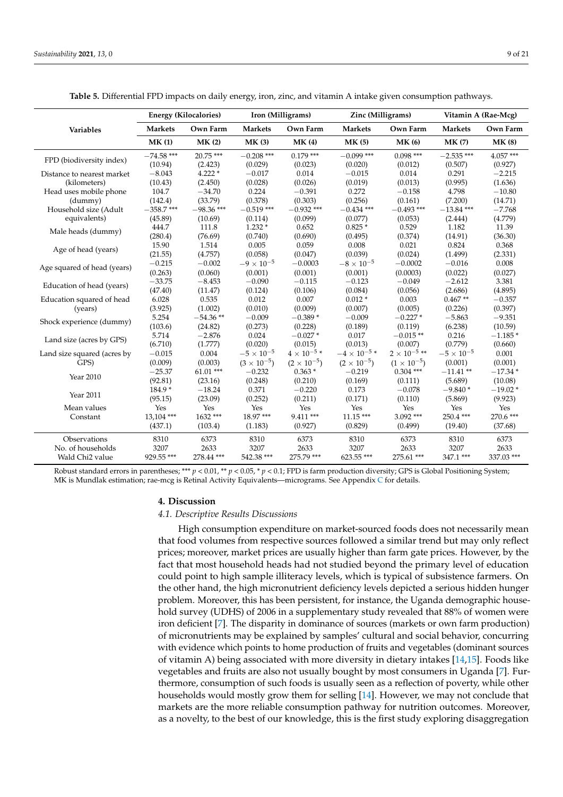<span id="page-8-0"></span>

|                             |                | <b>Energy (Kilocalories)</b> |                      | Iron (Milligrams)    | Zinc (Milligrams)    |                      | Vitamin A (Rae-Mcg) |               |
|-----------------------------|----------------|------------------------------|----------------------|----------------------|----------------------|----------------------|---------------------|---------------|
| Variables                   | <b>Markets</b> | Own Farm                     | <b>Markets</b>       | Own Farm             | <b>Markets</b>       | Own Farm             | <b>Markets</b>      | Own Farm      |
|                             | MK(1)          | MK(2)                        | <b>MK(3)</b>         | <b>MK(4)</b>         | <b>MK (5)</b>        | <b>MK (6)</b>        | <b>MK(7)</b>        | <b>MK (8)</b> |
| FPD (biodiversity index)    | $-74.58$ ***   | $20.75$ ***                  | $-0.208$ ***         | $0.179***$           | $-0.099$ ***         | $0.098***$           | $-2.535$ ***        | 4.057 ***     |
|                             | (10.94)        | (2.423)                      | (0.029)              | (0.023)              | (0.020)              | (0.012)              | (0.507)             | (0.927)       |
| Distance to nearest market  | $-8.043$       | $4.222*$                     | $-0.017$             | 0.014                | $-0.015$             | 0.014                | 0.291               | $-2.215$      |
| (kilometers)                | (10.43)        | (2.450)                      | (0.028)              | (0.026)              | (0.019)              | (0.013)              | (0.995)             | (1.636)       |
| Head uses mobile phone      | 104.7          | $-34.70$                     | 0.224                | $-0.391$             | 0.272                | $-0.158$             | 4.798               | $-10.80$      |
| (dummy)                     | (142.4)        | (33.79)                      | (0.378)              | (0.303)              | (0.256)              | (0.161)              | (7.200)             | (14.71)       |
| Household size (Adult       | $-358.7$ ***   | $-98.36$ ***                 | $-0.519$ ***         | $-0.932$ ***         | $-0.434$ ***         | $-0.493$ ***         | $-13.84$ ***        | $-7.768$      |
| equivalents)                | (45.89)        | (10.69)                      | (0.114)              | (0.099)              | (0.077)              | (0.053)              | (2.444)             | (4.779)       |
|                             | 444.7          | 111.8                        | $1.232*$             | 0.652                | $0.825*$             | 0.529                | 1.182               | 11.39         |
| Male heads (dummy)          | (280.4)        | (76.69)                      | (0.740)              | (0.690)              | (0.495)              | (0.374)              | (14.91)             | (36.30)       |
|                             | 15.90          | 1.514                        | 0.005                | 0.059                | 0.008                | 0.021                | 0.824               | 0.368         |
| Age of head (years)         | (21.55)        | (4.757)                      | (0.058)              | (0.047)              | (0.039)              | (0.024)              | (1.499)             | (2.331)       |
|                             | $-0.215$       | $-0.002$                     | $-9 \times 10^{-5}$  | $-0.0003$            | $-8 \times 10^{-5}$  | $-0.0002$            | $-0.016$            | 0.008         |
| Age squared of head (years) | (0.263)        | (0.060)                      | (0.001)              | (0.001)              | (0.001)              | (0.0003)             | (0.022)             | (0.027)       |
|                             | $-33.75$       | $-8.453$                     | $-0.090$             | $-0.115$             | $-0.123$             | $-0.049$             | $-2.612$            | 3.381         |
| Education of head (years)   | (47.40)        | (11.47)                      | (0.124)              | (0.106)              | (0.084)              | (0.056)              | (2.686)             | (4.895)       |
| Education squared of head   | 6.028          | 0.535                        | 0.012                | 0.007                | $0.012*$             | 0.003                | $0.467**$           | $-0.357$      |
| (years)                     | (3.925)        | (1.002)                      | (0.010)              | (0.009)              | (0.007)              | (0.005)              | (0.226)             | (0.397)       |
|                             | 5.254          | $-54.36**$                   | $-0.009$             | $-0.389*$            | $-0.009$             | $-0.227*$            | $-5.863$            | $-9.351$      |
| Shock experience (dummy)    | (103.6)        | (24.82)                      | (0.273)              | (0.228)              | (0.189)              | (0.119)              | (6.238)             | (10.59)       |
|                             | 5.714          | $-2.876$                     | 0.024                | $-0.027*$            | 0.017                | $-0.015**$           | 0.216               | $-1.185*$     |
| Land size (acres by GPS)    | (6.710)        | (1.777)                      | (0.020)              | (0.015)              | (0.013)              | (0.007)              | (0.779)             | (0.660)       |
| Land size squared (acres by | $-0.015$       | 0.004                        | $-5 \times 10^{-5}$  | $4\times10^{-5}$ *   | $-4\times10^{-5}$ *  | $2\times10^{-5}$ **  | $-5 \times 10^{-5}$ | 0.001         |
| GPS)                        | (0.009)        | (0.003)                      | $(3 \times 10^{-5})$ | $(2 \times 10^{-5})$ | $(2 \times 10^{-5})$ | $(1 \times 10^{-5})$ | (0.001)             | (0.001)       |
|                             | $-25.37$       | $61.01$ ***                  | $-0.232$             | $0.363*$             | $-0.219$             | $0.304$ ***          | $-11.41**$          | $-17.34*$     |
| Year 2010                   | (92.81)        | (23.16)                      | (0.248)              | (0.210)              | (0.169)              | (0.111)              | (5.689)             | (10.08)       |
|                             | 184.9*         | $-18.24$                     | 0.371                | $-0.220$             | 0.173                | $-0.078$             | $-9.840*$           | $-19.02*$     |
| Year 2011                   | (95.15)        | (23.09)                      | (0.252)              | (0.211)              | (0.171)              | (0.110)              | (5.869)             | (9.923)       |
| Mean values                 | Yes            | Yes                          | Yes                  | Yes                  | Yes                  | Yes                  | Yes                 | Yes           |
| Constant                    | 13,104 ***     | 1632***                      | 18.97***             | $9.411***$           | $11.15***$           | $3.092$ ***          | $250.4***$          | 270.6 ***     |
|                             | (437.1)        | (103.4)                      | (1.183)              | (0.927)              | (0.829)              | (0.499)              | (19.40)             | (37.68)       |
| Observations                | 8310           | 6373                         | 8310                 | 6373                 | 8310                 | 6373                 | 8310                | 6373          |
| No. of households           | 3207           | 2633                         | 3207                 | 2633                 | 3207                 | 2633                 | 3207                | 2633          |
| Wald Chi <sub>2</sub> value | 929.55***      | 278.44 ***                   | 542.38 ***           | 275.79 ***           | 623.55***            | 275.61 ***           | 347.1 ***           | 337.03 ***    |

**Table 5.** Differential FPD impacts on daily energy, iron, zinc, and vitamin A intake given consumption pathways.

Robust standard errors in parentheses; \*\*\* *p* < 0.01, \*\* *p* < 0.05, \* *p* < 0.1; FPD is farm production diversity; GPS is Global Positioning System; MK is Mundlak estimation; rae-mcg is Retinal Activity Equivalents—micrograms. See Appendix [C](#page-14-0) for details.

#### **4. Discussion**

#### *4.1. Descriptive Results Discussions*

High consumption expenditure on market-sourced foods does not necessarily mean that food volumes from respective sources followed a similar trend but may only reflect prices; moreover, market prices are usually higher than farm gate prices. However, by the fact that most household heads had not studied beyond the primary level of education could point to high sample illiteracy levels, which is typical of subsistence farmers. On the other hand, the high micronutrient deficiency levels depicted a serious hidden hunger problem. Moreover, this has been persistent, for instance, the Uganda demographic household survey (UDHS) of 2006 in a supplementary study revealed that 88% of women were iron deficient [\[7\]](#page-20-0). The disparity in dominance of sources (markets or own farm production) of micronutrients may be explained by samples' cultural and social behavior, concurring with evidence which points to home production of fruits and vegetables (dominant sources of vitamin A) being associated with more diversity in dietary intakes [\[14](#page-20-19)[,15\]](#page-20-20). Foods like vegetables and fruits are also not usually bought by most consumers in Uganda [\[7\]](#page-20-0). Furthermore, consumption of such foods is usually seen as a reflection of poverty, while other households would mostly grow them for selling [\[14\]](#page-20-19). However, we may not conclude that markets are the more reliable consumption pathway for nutrition outcomes. Moreover, as a novelty, to the best of our knowledge, this is the first study exploring disaggregation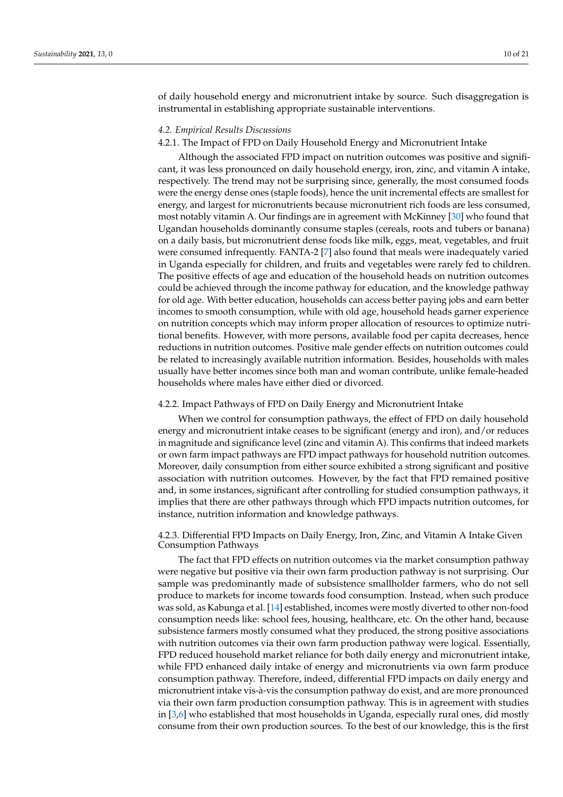of daily household energy and micronutrient intake by source. Such disaggregation is instrumental in establishing appropriate sustainable interventions.

#### *4.2. Empirical Results Discussions*

#### 4.2.1. The Impact of FPD on Daily Household Energy and Micronutrient Intake

Although the associated FPD impact on nutrition outcomes was positive and significant, it was less pronounced on daily household energy, iron, zinc, and vitamin A intake, respectively. The trend may not be surprising since, generally, the most consumed foods were the energy dense ones (staple foods), hence the unit incremental effects are smallest for energy, and largest for micronutrients because micronutrient rich foods are less consumed, most notably vitamin A. Our findings are in agreement with McKinney [\[30\]](#page-20-21) who found that Ugandan households dominantly consume staples (cereals, roots and tubers or banana) on a daily basis, but micronutrient dense foods like milk, eggs, meat, vegetables, and fruit were consumed infrequently. FANTA-2 [\[7\]](#page-20-0) also found that meals were inadequately varied in Uganda especially for children, and fruits and vegetables were rarely fed to children. The positive effects of age and education of the household heads on nutrition outcomes could be achieved through the income pathway for education, and the knowledge pathway for old age. With better education, households can access better paying jobs and earn better incomes to smooth consumption, while with old age, household heads garner experience on nutrition concepts which may inform proper allocation of resources to optimize nutritional benefits. However, with more persons, available food per capita decreases, hence reductions in nutrition outcomes. Positive male gender effects on nutrition outcomes could be related to increasingly available nutrition information. Besides, households with males usually have better incomes since both man and woman contribute, unlike female-headed households where males have either died or divorced.

#### 4.2.2. Impact Pathways of FPD on Daily Energy and Micronutrient Intake

When we control for consumption pathways, the effect of FPD on daily household energy and micronutrient intake ceases to be significant (energy and iron), and/or reduces in magnitude and significance level (zinc and vitamin A). This confirms that indeed markets or own farm impact pathways are FPD impact pathways for household nutrition outcomes. Moreover, daily consumption from either source exhibited a strong significant and positive association with nutrition outcomes. However, by the fact that FPD remained positive and, in some instances, significant after controlling for studied consumption pathways, it implies that there are other pathways through which FPD impacts nutrition outcomes, for instance, nutrition information and knowledge pathways.

4.2.3. Differential FPD Impacts on Daily Energy, Iron, Zinc, and Vitamin A Intake Given Consumption Pathways

The fact that FPD effects on nutrition outcomes via the market consumption pathway were negative but positive via their own farm production pathway is not surprising. Our sample was predominantly made of subsistence smallholder farmers, who do not sell produce to markets for income towards food consumption. Instead, when such produce was sold, as Kabunga et al. [\[14\]](#page-20-19) established, incomes were mostly diverted to other non-food consumption needs like: school fees, housing, healthcare, etc. On the other hand, because subsistence farmers mostly consumed what they produced, the strong positive associations with nutrition outcomes via their own farm production pathway were logical. Essentially, FPD reduced household market reliance for both daily energy and micronutrient intake, while FPD enhanced daily intake of energy and micronutrients via own farm produce consumption pathway. Therefore, indeed, differential FPD impacts on daily energy and micronutrient intake vis-à-vis the consumption pathway do exist, and are more pronounced via their own farm production consumption pathway. This is in agreement with studies in [\[3,](#page-19-2)[6\]](#page-19-3) who established that most households in Uganda, especially rural ones, did mostly consume from their own production sources. To the best of our knowledge, this is the first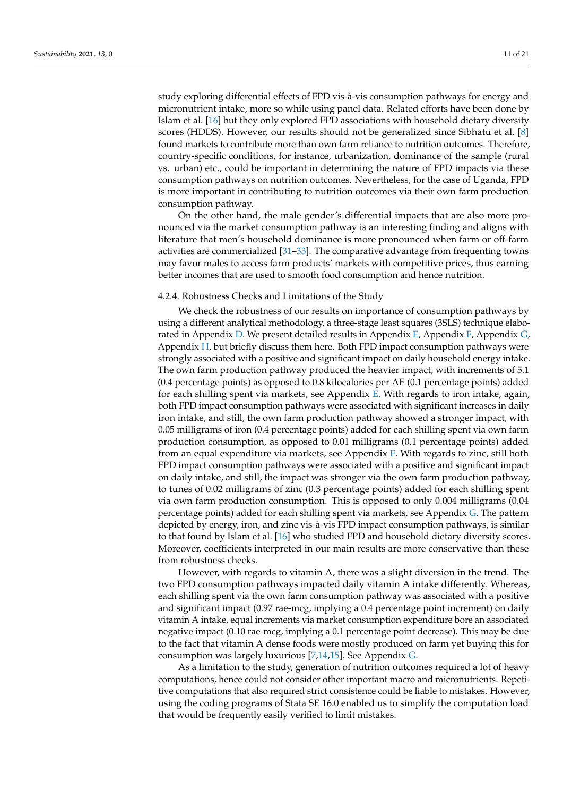study exploring differential effects of FPD vis-à-vis consumption pathways for energy and micronutrient intake, more so while using panel data. Related efforts have been done by Islam et al. [\[16\]](#page-20-22) but they only explored FPD associations with household dietary diversity scores (HDDS). However, our results should not be generalized since Sibhatu et al. [\[8\]](#page-20-1) found markets to contribute more than own farm reliance to nutrition outcomes. Therefore, country-specific conditions, for instance, urbanization, dominance of the sample (rural vs. urban) etc., could be important in determining the nature of FPD impacts via these consumption pathways on nutrition outcomes. Nevertheless, for the case of Uganda, FPD is more important in contributing to nutrition outcomes via their own farm production consumption pathway.

On the other hand, the male gender's differential impacts that are also more pronounced via the market consumption pathway is an interesting finding and aligns with literature that men's household dominance is more pronounced when farm or off-farm activities are commercialized [\[31–](#page-20-23)[33\]](#page-20-24). The comparative advantage from frequenting towns may favor males to access farm products' markets with competitive prices, thus earning better incomes that are used to smooth food consumption and hence nutrition.

#### 4.2.4. Robustness Checks and Limitations of the Study

We check the robustness of our results on importance of consumption pathways by using a different analytical methodology, a three-stage least squares (3SLS) technique elaborated in Appendix [D.](#page-15-0) We present detailed results in Appendix [E,](#page-16-0) Appendix [F,](#page-17-0) Appendix [G,](#page-18-0) Appendix [H,](#page-19-6) but briefly discuss them here. Both FPD impact consumption pathways were strongly associated with a positive and significant impact on daily household energy intake. The own farm production pathway produced the heavier impact, with increments of 5.1 (0.4 percentage points) as opposed to 0.8 kilocalories per AE (0.1 percentage points) added for each shilling spent via markets, see Appendix [E.](#page-16-0) With regards to iron intake, again, both FPD impact consumption pathways were associated with significant increases in daily iron intake, and still, the own farm production pathway showed a stronger impact, with 0.05 milligrams of iron (0.4 percentage points) added for each shilling spent via own farm production consumption, as opposed to 0.01 milligrams (0.1 percentage points) added from an equal expenditure via markets, see Appendix [F.](#page-17-0) With regards to zinc, still both FPD impact consumption pathways were associated with a positive and significant impact on daily intake, and still, the impact was stronger via the own farm production pathway, to tunes of 0.02 milligrams of zinc (0.3 percentage points) added for each shilling spent via own farm production consumption. This is opposed to only 0.004 milligrams (0.04 percentage points) added for each shilling spent via markets, see Appendix [G.](#page-18-0) The pattern depicted by energy, iron, and zinc vis-à-vis FPD impact consumption pathways, is similar to that found by Islam et al. [\[16\]](#page-20-22) who studied FPD and household dietary diversity scores. Moreover, coefficients interpreted in our main results are more conservative than these from robustness checks.

However, with regards to vitamin A, there was a slight diversion in the trend. The two FPD consumption pathways impacted daily vitamin A intake differently. Whereas, each shilling spent via the own farm consumption pathway was associated with a positive and significant impact (0.97 rae-mcg, implying a 0.4 percentage point increment) on daily vitamin A intake, equal increments via market consumption expenditure bore an associated negative impact (0.10 rae-mcg, implying a 0.1 percentage point decrease). This may be due to the fact that vitamin A dense foods were mostly produced on farm yet buying this for consumption was largely luxurious [\[7,](#page-20-0)[14](#page-20-19)[,15\]](#page-20-20). See Appendix [G.](#page-18-0)

As a limitation to the study, generation of nutrition outcomes required a lot of heavy computations, hence could not consider other important macro and micronutrients. Repetitive computations that also required strict consistence could be liable to mistakes. However, using the coding programs of Stata SE 16.0 enabled us to simplify the computation load that would be frequently easily verified to limit mistakes.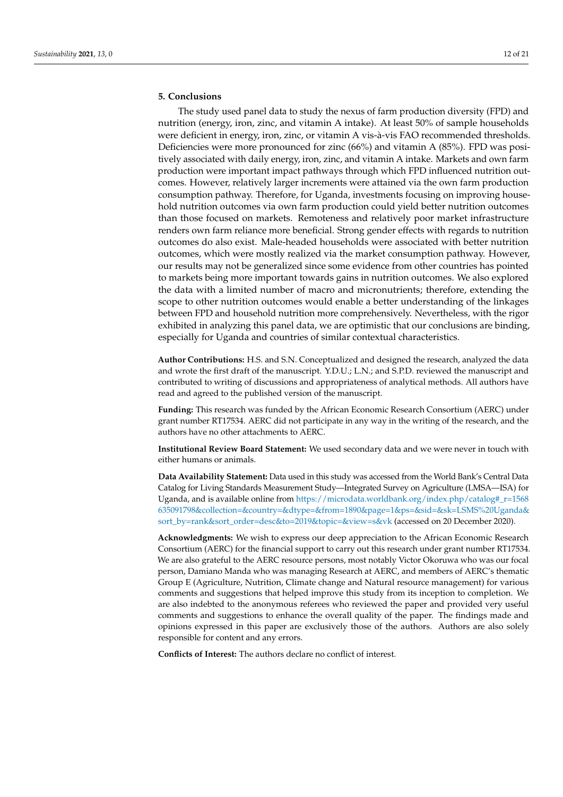### **5. Conclusions**

The study used panel data to study the nexus of farm production diversity (FPD) and nutrition (energy, iron, zinc, and vitamin A intake). At least 50% of sample households were deficient in energy, iron, zinc, or vitamin A vis-à-vis FAO recommended thresholds. Deficiencies were more pronounced for zinc (66%) and vitamin A (85%). FPD was positively associated with daily energy, iron, zinc, and vitamin A intake. Markets and own farm production were important impact pathways through which FPD influenced nutrition outcomes. However, relatively larger increments were attained via the own farm production consumption pathway. Therefore, for Uganda, investments focusing on improving household nutrition outcomes via own farm production could yield better nutrition outcomes than those focused on markets. Remoteness and relatively poor market infrastructure renders own farm reliance more beneficial. Strong gender effects with regards to nutrition outcomes do also exist. Male-headed households were associated with better nutrition outcomes, which were mostly realized via the market consumption pathway. However, our results may not be generalized since some evidence from other countries has pointed to markets being more important towards gains in nutrition outcomes. We also explored the data with a limited number of macro and micronutrients; therefore, extending the scope to other nutrition outcomes would enable a better understanding of the linkages between FPD and household nutrition more comprehensively. Nevertheless, with the rigor exhibited in analyzing this panel data, we are optimistic that our conclusions are binding, especially for Uganda and countries of similar contextual characteristics.

**Author Contributions:** H.S. and S.N. Conceptualized and designed the research, analyzed the data and wrote the first draft of the manuscript. Y.D.U.; L.N.; and S.P.D. reviewed the manuscript and contributed to writing of discussions and appropriateness of analytical methods. All authors have read and agreed to the published version of the manuscript.

**Funding:** This research was funded by the African Economic Research Consortium (AERC) under grant number RT17534. AERC did not participate in any way in the writing of the research, and the authors have no other attachments to AERC.

**Institutional Review Board Statement:** We used secondary data and we were never in touch with either humans or animals.

**Data Availability Statement:** Data used in this study was accessed from the World Bank's Central Data Catalog for Living Standards Measurement Study—Integrated Survey on Agriculture (LMSA—ISA) for Uganda, and is available online from [https://microdata.worldbank.org/index.php/catalog#\\_r=1568](https://microdata.worldbank.org/index.php/catalog#_r=1568635091798&collection=&country=&dtype=&from=1890&page=1&ps=&sid=&sk=LSMS%20Uganda&sort_by=rank&sort_order=desc&to=2019&topic=&view=s&vk) [635091798&collection=&country=&dtype=&from=1890&page=1&ps=&sid=&sk=LSMS%20Uganda&](https://microdata.worldbank.org/index.php/catalog#_r=1568635091798&collection=&country=&dtype=&from=1890&page=1&ps=&sid=&sk=LSMS%20Uganda&sort_by=rank&sort_order=desc&to=2019&topic=&view=s&vk) [sort\\_by=rank&sort\\_order=desc&to=2019&topic=&view=s&vk](https://microdata.worldbank.org/index.php/catalog#_r=1568635091798&collection=&country=&dtype=&from=1890&page=1&ps=&sid=&sk=LSMS%20Uganda&sort_by=rank&sort_order=desc&to=2019&topic=&view=s&vk) (accessed on 20 December 2020).

**Acknowledgments:** We wish to express our deep appreciation to the African Economic Research Consortium (AERC) for the financial support to carry out this research under grant number RT17534. We are also grateful to the AERC resource persons, most notably Victor Okoruwa who was our focal person, Damiano Manda who was managing Research at AERC, and members of AERC's thematic Group E (Agriculture, Nutrition, Climate change and Natural resource management) for various comments and suggestions that helped improve this study from its inception to completion. We are also indebted to the anonymous referees who reviewed the paper and provided very useful comments and suggestions to enhance the overall quality of the paper. The findings made and opinions expressed in this paper are exclusively those of the authors. Authors are also solely responsible for content and any errors.

**Conflicts of Interest:** The authors declare no conflict of interest.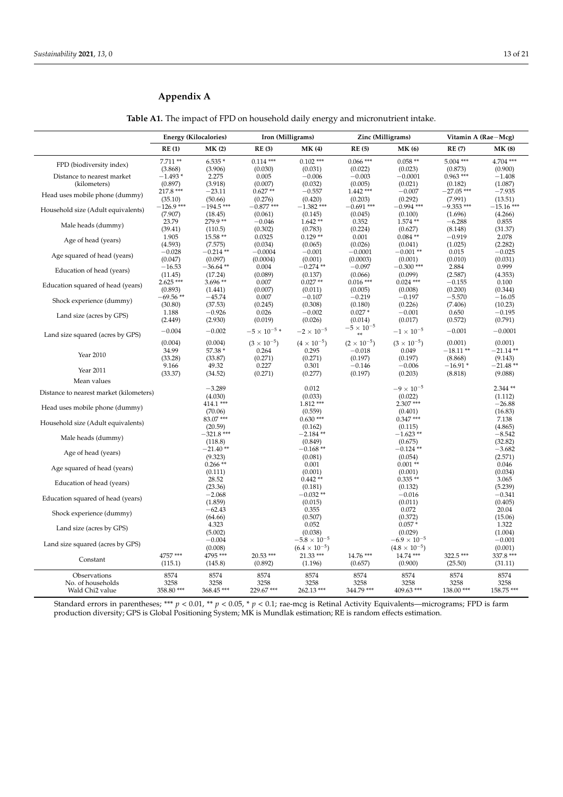$\overline{a}$ 

### <span id="page-12-0"></span>**Appendix A**

| Iron (Milligrams)<br>Zinc (Milligrams)<br><b>Energy (Kilocalories)</b><br>Vitamin A (Rae-Mcg)<br>RE(1)<br>MK(2)<br>RE(3)<br><b>MK(4)</b><br>RE(5)<br><b>MK (6)</b><br><b>RE(7)</b><br><b>MK (8)</b><br>$7.711**$<br>$0.114***$<br>$0.102$ ***<br>$0.066***$<br>$0.058**$<br>$5.004$ ***<br>$4.704$ ***<br>$6.535*$<br>FPD (biodiversity index)<br>(0.030)<br>(3.868)<br>(3.906)<br>(0.031)<br>(0.022)<br>(0.023)<br>(0.873)<br>(0.900)<br>$-1.493*$<br>$0.963***$<br>Distance to nearest market<br>2.275<br>0.005<br>$-0.006$<br>$-0.003$<br>$-0.0001$<br>$-1.408$<br>(3.918)<br>(0.897)<br>(0.007)<br>(0.032)<br>(0.005)<br>(0.021)<br>(1.087)<br>(kilometers)<br>(0.182)<br>217.8 ***<br>$0.627**$<br>$-0.557$<br>$1.442***$<br>$-0.007$<br>$-27.05$ ***<br>$-7.935$<br>$-23.11$<br>Head uses mobile phone (dummy)<br>(0.276)<br>(0.292)<br>(7.991)<br>(35.10)<br>(50.66)<br>(0.420)<br>(0.203)<br>(13.51)<br>$-126.9$ ***<br>$-194.5$ ***<br>$-0.877$ ***<br>$-1.382$ ***<br>$-0.691$ ***<br>$-0.994$ ***<br>$-9.353$ ***<br>$-15.16$ ***<br>Household size (Adult equivalents)<br>(7.907)<br>(18.45)<br>(0.061)<br>(0.145)<br>(0.045)<br>(0.100)<br>(1.696)<br>(4.266)<br>279.9**<br>23.79<br>$-0.046$<br>$1.642**$<br>$1.574**$<br>0.352<br>$-6.288$<br>0.855<br>Male heads (dummy)<br>(0.224)<br>(39.41)<br>(0.302)<br>(0.783)<br>(0.627)<br>(8.148)<br>(31.37)<br>(110.5)<br>1.905<br>15.58 **<br>0.0325<br>$0.129**$<br>0.001<br>$0.084**$<br>$-0.919$<br>2.078<br>Age of head (years)<br>(4.593)<br>(7.575)<br>(0.034)<br>(0.065)<br>(0.026)<br>(0.041)<br>(1.025)<br>(2.282)<br>$-0.028$<br>$-0.214**$<br>$-0.0004$<br>$-0.001$<br>$-0.0001$<br>$-0.001**$<br>0.015<br>$-0.025$<br>Age squared of head (years)<br>(0.047)<br>(0.097)<br>(0.0004)<br>(0.001)<br>(0.0003)<br>(0.001)<br>(0.010)<br>(0.031)<br>$-36.64$ **<br>$-0.274$ **<br>$-0.300$ ***<br>0.999<br>$-16.53$<br>0.004<br>$-0.097$<br>2.884<br>Education of head (years)<br>(17.24)<br>(0.089)<br>(0.137)<br>(0.066)<br>(0.099)<br>(2.587)<br>(4.353)<br>(11.45)<br>$2.625***$<br>$3.696**$<br>$0.027**$<br>$0.016***$<br>$0.024$ ***<br>0.007<br>$-0.155$<br>0.100<br>Education squared of head (years)<br>(0.893)<br>(1.441)<br>(0.007)<br>(0.011)<br>(0.005)<br>(0.008)<br>(0.200)<br>(0.344)<br>$-69.56**$<br>$-45.74$<br>0.007<br>$-0.107$<br>$-0.219$<br>$-0.197$<br>$-5.570$<br>$-16.05$<br>Shock experience (dummy)<br>(30.80)<br>(0.245)<br>(0.308)<br>(0.226)<br>(7.406)<br>(10.23)<br>(37.53)<br>(0.180)<br>1.188<br>$-0.926$<br>$-0.002$<br>$0.027*$<br>$-0.001$<br>0.650<br>$-0.195$<br>0.026<br>Land size (acres by GPS)<br>(0.019)<br>(2.449)<br>(2.930)<br>(0.026)<br>(0.014)<br>(0.017)<br>(0.572)<br>(0.791)<br>$-5\times10^{-5}$<br>$-5 \times 10^{-5}$ *<br>$-2\times10^{-5}$<br>$-0.004$<br>$-0.002$<br>$-1\times10^{-5}$<br>$-0.001$<br>$-0.0001$<br>Land size squared (acres by GPS)<br>**<br>(0.004)<br>(0.004)<br>$(3 \times 10^{-5})$<br>$(4 \times 10^{-5})$<br>$(3 \times 10^{-5})$<br>$(2 \times 10^{-5})$<br>(0.001)<br>(0.001)<br>34.99<br>57.38 *<br>0.264<br>0.295<br>$-0.018$<br>0.049<br>$-18.11**$<br>$-21.14**$<br>Year 2010<br>(33.28)<br>(33.87)<br>(0.271)<br>(0.271)<br>(0.197)<br>(0.197)<br>(8.868)<br>(9.143)<br>0.227<br>$-0.006$<br>$-16.91*$<br>9.166<br>49.32<br>0.301<br>$-0.146$<br>$-21.48**$<br>Year 2011<br>(33.37)<br>(34.52)<br>(0.271)<br>(0.277)<br>(0.197)<br>(0.203)<br>(8.818)<br>(9.088)<br>Mean values<br>$-3.289$<br>0.012<br>$-9 \times 10^{-5}$<br>2.344**<br>Distance to nearest market (kilometers)<br>(4.030)<br>(0.033)<br>(0.022)<br>(1.112)<br>414.1 ***<br>$1.812***$<br>$2.307***$<br>$-26.88$<br>Head uses mobile phone (dummy)<br>(70.06)<br>(0.559)<br>(0.401)<br>(16.83)<br>83.07***<br>$0.630***$<br>$0.347***$<br>7.138<br>Household size (Adult equivalents)<br>(20.59)<br>(4.865)<br>(0.162)<br>(0.115)<br>$-321.8$ ***<br>$-2.184**$<br>$-1.623**$<br>$-8.542$<br>Male heads (dummy)<br>(118.8)<br>(0.849)<br>(0.675)<br>(32.82)<br>$-0.168**$<br>$-21.40**$<br>$-0.124$ **<br>$-3.682$<br>Age of head (years)<br>(9.323)<br>(0.081)<br>(0.054)<br>(2.571)<br>$0.266**$<br>0.001<br>$0.001**$<br>0.046<br>Age squared of head (years)<br>(0.111)<br>(0.001)<br>(0.001)<br>(0.034)<br>$0.442**$<br>$0.335**$<br>28.52<br>3.065<br>Education of head (years)<br>(5.239)<br>(23.36)<br>(0.181)<br>(0.132)<br>$-2.068$<br>$-0.341$<br>$-0.032**$<br>$-0.016$<br>Education squared of head (years)<br>(1.859)<br>(0.011)<br>(0.405)<br>(0.015)<br>$-62.43$<br>0.355<br>0.072<br>20.04<br>Shock experience (dummy)<br>(64.66)<br>(0.507)<br>(0.372)<br>(15.06)<br>4.323<br>0.052<br>$0.057*$<br>1.322<br>Land size (acres by GPS)<br>(5.002)<br>(0.038)<br>(0.029)<br>(1.004)<br>$-0.004$<br>$-5.8\times10^{-5}$<br>$-6.9 \times 10^{-5}$<br>$-0.001$<br>Land size squared (acres by GPS)<br>(0.008)<br>$(6.4 \times 10^{-5})$<br>$(4.8 \times 10^{-5})$<br>(0.001)<br>4757 ***<br>4795***<br>$20.53***$<br>$21.33***$<br>14.76 ***<br>$14.74***$<br>322.5 ***<br>337.8 ***<br>Constant<br>(0.900)<br>(25.50)<br>(115.1)<br>(145.8)<br>(0.892)<br>(1.196)<br>(0.657)<br>(31.11)<br>8574<br>8574<br>8574<br>8574<br>8574<br>8574<br>8574<br>8574<br>Observations |  |  |  |  |  |
|---------------------------------------------------------------------------------------------------------------------------------------------------------------------------------------------------------------------------------------------------------------------------------------------------------------------------------------------------------------------------------------------------------------------------------------------------------------------------------------------------------------------------------------------------------------------------------------------------------------------------------------------------------------------------------------------------------------------------------------------------------------------------------------------------------------------------------------------------------------------------------------------------------------------------------------------------------------------------------------------------------------------------------------------------------------------------------------------------------------------------------------------------------------------------------------------------------------------------------------------------------------------------------------------------------------------------------------------------------------------------------------------------------------------------------------------------------------------------------------------------------------------------------------------------------------------------------------------------------------------------------------------------------------------------------------------------------------------------------------------------------------------------------------------------------------------------------------------------------------------------------------------------------------------------------------------------------------------------------------------------------------------------------------------------------------------------------------------------------------------------------------------------------------------------------------------------------------------------------------------------------------------------------------------------------------------------------------------------------------------------------------------------------------------------------------------------------------------------------------------------------------------------------------------------------------------------------------------------------------------------------------------------------------------------------------------------------------------------------------------------------------------------------------------------------------------------------------------------------------------------------------------------------------------------------------------------------------------------------------------------------------------------------------------------------------------------------------------------------------------------------------------------------------------------------------------------------------------------------------------------------------------------------------------------------------------------------------------------------------------------------------------------------------------------------------------------------------------------------------------------------------------------------------------------------------------------------------------------------------------------------------------------------------------------------------------------------------------------------------------------------------------------------------------------------------------------------------------------------------------------------------------------------------------------------------------------------------------------------------------------------------------------------------------------------------------------------------------------------------------------------------------------------------------------------------------------------------------------------------------------------------------------------------------------------------------------------------------------------------------------------------------------------------------------------------------------------------------------------------------------------------------------------------------------------------------------------------------------------------------------------------------------------------------------------------------------------------------------------------------------------------------------------------------------------------------------------------------------------------------------------------------------------------------------------------------------------------------------------------------------------------------------------------------------------------------------------------------------------------------------------------------------------------------------------------------------------------------|--|--|--|--|--|
|                                                                                                                                                                                                                                                                                                                                                                                                                                                                                                                                                                                                                                                                                                                                                                                                                                                                                                                                                                                                                                                                                                                                                                                                                                                                                                                                                                                                                                                                                                                                                                                                                                                                                                                                                                                                                                                                                                                                                                                                                                                                                                                                                                                                                                                                                                                                                                                                                                                                                                                                                                                                                                                                                                                                                                                                                                                                                                                                                                                                                                                                                                                                                                                                                                                                                                                                                                                                                                                                                                                                                                                                                                                                                                                                                                                                                                                                                                                                                                                                                                                                                                                                                                                                                                                                                                                                                                                                                                                                                                                                                                                                                                                                                                                                                                                                                                                                                                                                                                                                                                                                                                                                                                                                                     |  |  |  |  |  |
|                                                                                                                                                                                                                                                                                                                                                                                                                                                                                                                                                                                                                                                                                                                                                                                                                                                                                                                                                                                                                                                                                                                                                                                                                                                                                                                                                                                                                                                                                                                                                                                                                                                                                                                                                                                                                                                                                                                                                                                                                                                                                                                                                                                                                                                                                                                                                                                                                                                                                                                                                                                                                                                                                                                                                                                                                                                                                                                                                                                                                                                                                                                                                                                                                                                                                                                                                                                                                                                                                                                                                                                                                                                                                                                                                                                                                                                                                                                                                                                                                                                                                                                                                                                                                                                                                                                                                                                                                                                                                                                                                                                                                                                                                                                                                                                                                                                                                                                                                                                                                                                                                                                                                                                                                     |  |  |  |  |  |
|                                                                                                                                                                                                                                                                                                                                                                                                                                                                                                                                                                                                                                                                                                                                                                                                                                                                                                                                                                                                                                                                                                                                                                                                                                                                                                                                                                                                                                                                                                                                                                                                                                                                                                                                                                                                                                                                                                                                                                                                                                                                                                                                                                                                                                                                                                                                                                                                                                                                                                                                                                                                                                                                                                                                                                                                                                                                                                                                                                                                                                                                                                                                                                                                                                                                                                                                                                                                                                                                                                                                                                                                                                                                                                                                                                                                                                                                                                                                                                                                                                                                                                                                                                                                                                                                                                                                                                                                                                                                                                                                                                                                                                                                                                                                                                                                                                                                                                                                                                                                                                                                                                                                                                                                                     |  |  |  |  |  |
|                                                                                                                                                                                                                                                                                                                                                                                                                                                                                                                                                                                                                                                                                                                                                                                                                                                                                                                                                                                                                                                                                                                                                                                                                                                                                                                                                                                                                                                                                                                                                                                                                                                                                                                                                                                                                                                                                                                                                                                                                                                                                                                                                                                                                                                                                                                                                                                                                                                                                                                                                                                                                                                                                                                                                                                                                                                                                                                                                                                                                                                                                                                                                                                                                                                                                                                                                                                                                                                                                                                                                                                                                                                                                                                                                                                                                                                                                                                                                                                                                                                                                                                                                                                                                                                                                                                                                                                                                                                                                                                                                                                                                                                                                                                                                                                                                                                                                                                                                                                                                                                                                                                                                                                                                     |  |  |  |  |  |
|                                                                                                                                                                                                                                                                                                                                                                                                                                                                                                                                                                                                                                                                                                                                                                                                                                                                                                                                                                                                                                                                                                                                                                                                                                                                                                                                                                                                                                                                                                                                                                                                                                                                                                                                                                                                                                                                                                                                                                                                                                                                                                                                                                                                                                                                                                                                                                                                                                                                                                                                                                                                                                                                                                                                                                                                                                                                                                                                                                                                                                                                                                                                                                                                                                                                                                                                                                                                                                                                                                                                                                                                                                                                                                                                                                                                                                                                                                                                                                                                                                                                                                                                                                                                                                                                                                                                                                                                                                                                                                                                                                                                                                                                                                                                                                                                                                                                                                                                                                                                                                                                                                                                                                                                                     |  |  |  |  |  |
|                                                                                                                                                                                                                                                                                                                                                                                                                                                                                                                                                                                                                                                                                                                                                                                                                                                                                                                                                                                                                                                                                                                                                                                                                                                                                                                                                                                                                                                                                                                                                                                                                                                                                                                                                                                                                                                                                                                                                                                                                                                                                                                                                                                                                                                                                                                                                                                                                                                                                                                                                                                                                                                                                                                                                                                                                                                                                                                                                                                                                                                                                                                                                                                                                                                                                                                                                                                                                                                                                                                                                                                                                                                                                                                                                                                                                                                                                                                                                                                                                                                                                                                                                                                                                                                                                                                                                                                                                                                                                                                                                                                                                                                                                                                                                                                                                                                                                                                                                                                                                                                                                                                                                                                                                     |  |  |  |  |  |
|                                                                                                                                                                                                                                                                                                                                                                                                                                                                                                                                                                                                                                                                                                                                                                                                                                                                                                                                                                                                                                                                                                                                                                                                                                                                                                                                                                                                                                                                                                                                                                                                                                                                                                                                                                                                                                                                                                                                                                                                                                                                                                                                                                                                                                                                                                                                                                                                                                                                                                                                                                                                                                                                                                                                                                                                                                                                                                                                                                                                                                                                                                                                                                                                                                                                                                                                                                                                                                                                                                                                                                                                                                                                                                                                                                                                                                                                                                                                                                                                                                                                                                                                                                                                                                                                                                                                                                                                                                                                                                                                                                                                                                                                                                                                                                                                                                                                                                                                                                                                                                                                                                                                                                                                                     |  |  |  |  |  |
|                                                                                                                                                                                                                                                                                                                                                                                                                                                                                                                                                                                                                                                                                                                                                                                                                                                                                                                                                                                                                                                                                                                                                                                                                                                                                                                                                                                                                                                                                                                                                                                                                                                                                                                                                                                                                                                                                                                                                                                                                                                                                                                                                                                                                                                                                                                                                                                                                                                                                                                                                                                                                                                                                                                                                                                                                                                                                                                                                                                                                                                                                                                                                                                                                                                                                                                                                                                                                                                                                                                                                                                                                                                                                                                                                                                                                                                                                                                                                                                                                                                                                                                                                                                                                                                                                                                                                                                                                                                                                                                                                                                                                                                                                                                                                                                                                                                                                                                                                                                                                                                                                                                                                                                                                     |  |  |  |  |  |
|                                                                                                                                                                                                                                                                                                                                                                                                                                                                                                                                                                                                                                                                                                                                                                                                                                                                                                                                                                                                                                                                                                                                                                                                                                                                                                                                                                                                                                                                                                                                                                                                                                                                                                                                                                                                                                                                                                                                                                                                                                                                                                                                                                                                                                                                                                                                                                                                                                                                                                                                                                                                                                                                                                                                                                                                                                                                                                                                                                                                                                                                                                                                                                                                                                                                                                                                                                                                                                                                                                                                                                                                                                                                                                                                                                                                                                                                                                                                                                                                                                                                                                                                                                                                                                                                                                                                                                                                                                                                                                                                                                                                                                                                                                                                                                                                                                                                                                                                                                                                                                                                                                                                                                                                                     |  |  |  |  |  |
|                                                                                                                                                                                                                                                                                                                                                                                                                                                                                                                                                                                                                                                                                                                                                                                                                                                                                                                                                                                                                                                                                                                                                                                                                                                                                                                                                                                                                                                                                                                                                                                                                                                                                                                                                                                                                                                                                                                                                                                                                                                                                                                                                                                                                                                                                                                                                                                                                                                                                                                                                                                                                                                                                                                                                                                                                                                                                                                                                                                                                                                                                                                                                                                                                                                                                                                                                                                                                                                                                                                                                                                                                                                                                                                                                                                                                                                                                                                                                                                                                                                                                                                                                                                                                                                                                                                                                                                                                                                                                                                                                                                                                                                                                                                                                                                                                                                                                                                                                                                                                                                                                                                                                                                                                     |  |  |  |  |  |
|                                                                                                                                                                                                                                                                                                                                                                                                                                                                                                                                                                                                                                                                                                                                                                                                                                                                                                                                                                                                                                                                                                                                                                                                                                                                                                                                                                                                                                                                                                                                                                                                                                                                                                                                                                                                                                                                                                                                                                                                                                                                                                                                                                                                                                                                                                                                                                                                                                                                                                                                                                                                                                                                                                                                                                                                                                                                                                                                                                                                                                                                                                                                                                                                                                                                                                                                                                                                                                                                                                                                                                                                                                                                                                                                                                                                                                                                                                                                                                                                                                                                                                                                                                                                                                                                                                                                                                                                                                                                                                                                                                                                                                                                                                                                                                                                                                                                                                                                                                                                                                                                                                                                                                                                                     |  |  |  |  |  |
|                                                                                                                                                                                                                                                                                                                                                                                                                                                                                                                                                                                                                                                                                                                                                                                                                                                                                                                                                                                                                                                                                                                                                                                                                                                                                                                                                                                                                                                                                                                                                                                                                                                                                                                                                                                                                                                                                                                                                                                                                                                                                                                                                                                                                                                                                                                                                                                                                                                                                                                                                                                                                                                                                                                                                                                                                                                                                                                                                                                                                                                                                                                                                                                                                                                                                                                                                                                                                                                                                                                                                                                                                                                                                                                                                                                                                                                                                                                                                                                                                                                                                                                                                                                                                                                                                                                                                                                                                                                                                                                                                                                                                                                                                                                                                                                                                                                                                                                                                                                                                                                                                                                                                                                                                     |  |  |  |  |  |
|                                                                                                                                                                                                                                                                                                                                                                                                                                                                                                                                                                                                                                                                                                                                                                                                                                                                                                                                                                                                                                                                                                                                                                                                                                                                                                                                                                                                                                                                                                                                                                                                                                                                                                                                                                                                                                                                                                                                                                                                                                                                                                                                                                                                                                                                                                                                                                                                                                                                                                                                                                                                                                                                                                                                                                                                                                                                                                                                                                                                                                                                                                                                                                                                                                                                                                                                                                                                                                                                                                                                                                                                                                                                                                                                                                                                                                                                                                                                                                                                                                                                                                                                                                                                                                                                                                                                                                                                                                                                                                                                                                                                                                                                                                                                                                                                                                                                                                                                                                                                                                                                                                                                                                                                                     |  |  |  |  |  |
|                                                                                                                                                                                                                                                                                                                                                                                                                                                                                                                                                                                                                                                                                                                                                                                                                                                                                                                                                                                                                                                                                                                                                                                                                                                                                                                                                                                                                                                                                                                                                                                                                                                                                                                                                                                                                                                                                                                                                                                                                                                                                                                                                                                                                                                                                                                                                                                                                                                                                                                                                                                                                                                                                                                                                                                                                                                                                                                                                                                                                                                                                                                                                                                                                                                                                                                                                                                                                                                                                                                                                                                                                                                                                                                                                                                                                                                                                                                                                                                                                                                                                                                                                                                                                                                                                                                                                                                                                                                                                                                                                                                                                                                                                                                                                                                                                                                                                                                                                                                                                                                                                                                                                                                                                     |  |  |  |  |  |
|                                                                                                                                                                                                                                                                                                                                                                                                                                                                                                                                                                                                                                                                                                                                                                                                                                                                                                                                                                                                                                                                                                                                                                                                                                                                                                                                                                                                                                                                                                                                                                                                                                                                                                                                                                                                                                                                                                                                                                                                                                                                                                                                                                                                                                                                                                                                                                                                                                                                                                                                                                                                                                                                                                                                                                                                                                                                                                                                                                                                                                                                                                                                                                                                                                                                                                                                                                                                                                                                                                                                                                                                                                                                                                                                                                                                                                                                                                                                                                                                                                                                                                                                                                                                                                                                                                                                                                                                                                                                                                                                                                                                                                                                                                                                                                                                                                                                                                                                                                                                                                                                                                                                                                                                                     |  |  |  |  |  |
|                                                                                                                                                                                                                                                                                                                                                                                                                                                                                                                                                                                                                                                                                                                                                                                                                                                                                                                                                                                                                                                                                                                                                                                                                                                                                                                                                                                                                                                                                                                                                                                                                                                                                                                                                                                                                                                                                                                                                                                                                                                                                                                                                                                                                                                                                                                                                                                                                                                                                                                                                                                                                                                                                                                                                                                                                                                                                                                                                                                                                                                                                                                                                                                                                                                                                                                                                                                                                                                                                                                                                                                                                                                                                                                                                                                                                                                                                                                                                                                                                                                                                                                                                                                                                                                                                                                                                                                                                                                                                                                                                                                                                                                                                                                                                                                                                                                                                                                                                                                                                                                                                                                                                                                                                     |  |  |  |  |  |
|                                                                                                                                                                                                                                                                                                                                                                                                                                                                                                                                                                                                                                                                                                                                                                                                                                                                                                                                                                                                                                                                                                                                                                                                                                                                                                                                                                                                                                                                                                                                                                                                                                                                                                                                                                                                                                                                                                                                                                                                                                                                                                                                                                                                                                                                                                                                                                                                                                                                                                                                                                                                                                                                                                                                                                                                                                                                                                                                                                                                                                                                                                                                                                                                                                                                                                                                                                                                                                                                                                                                                                                                                                                                                                                                                                                                                                                                                                                                                                                                                                                                                                                                                                                                                                                                                                                                                                                                                                                                                                                                                                                                                                                                                                                                                                                                                                                                                                                                                                                                                                                                                                                                                                                                                     |  |  |  |  |  |
|                                                                                                                                                                                                                                                                                                                                                                                                                                                                                                                                                                                                                                                                                                                                                                                                                                                                                                                                                                                                                                                                                                                                                                                                                                                                                                                                                                                                                                                                                                                                                                                                                                                                                                                                                                                                                                                                                                                                                                                                                                                                                                                                                                                                                                                                                                                                                                                                                                                                                                                                                                                                                                                                                                                                                                                                                                                                                                                                                                                                                                                                                                                                                                                                                                                                                                                                                                                                                                                                                                                                                                                                                                                                                                                                                                                                                                                                                                                                                                                                                                                                                                                                                                                                                                                                                                                                                                                                                                                                                                                                                                                                                                                                                                                                                                                                                                                                                                                                                                                                                                                                                                                                                                                                                     |  |  |  |  |  |
|                                                                                                                                                                                                                                                                                                                                                                                                                                                                                                                                                                                                                                                                                                                                                                                                                                                                                                                                                                                                                                                                                                                                                                                                                                                                                                                                                                                                                                                                                                                                                                                                                                                                                                                                                                                                                                                                                                                                                                                                                                                                                                                                                                                                                                                                                                                                                                                                                                                                                                                                                                                                                                                                                                                                                                                                                                                                                                                                                                                                                                                                                                                                                                                                                                                                                                                                                                                                                                                                                                                                                                                                                                                                                                                                                                                                                                                                                                                                                                                                                                                                                                                                                                                                                                                                                                                                                                                                                                                                                                                                                                                                                                                                                                                                                                                                                                                                                                                                                                                                                                                                                                                                                                                                                     |  |  |  |  |  |
|                                                                                                                                                                                                                                                                                                                                                                                                                                                                                                                                                                                                                                                                                                                                                                                                                                                                                                                                                                                                                                                                                                                                                                                                                                                                                                                                                                                                                                                                                                                                                                                                                                                                                                                                                                                                                                                                                                                                                                                                                                                                                                                                                                                                                                                                                                                                                                                                                                                                                                                                                                                                                                                                                                                                                                                                                                                                                                                                                                                                                                                                                                                                                                                                                                                                                                                                                                                                                                                                                                                                                                                                                                                                                                                                                                                                                                                                                                                                                                                                                                                                                                                                                                                                                                                                                                                                                                                                                                                                                                                                                                                                                                                                                                                                                                                                                                                                                                                                                                                                                                                                                                                                                                                                                     |  |  |  |  |  |
|                                                                                                                                                                                                                                                                                                                                                                                                                                                                                                                                                                                                                                                                                                                                                                                                                                                                                                                                                                                                                                                                                                                                                                                                                                                                                                                                                                                                                                                                                                                                                                                                                                                                                                                                                                                                                                                                                                                                                                                                                                                                                                                                                                                                                                                                                                                                                                                                                                                                                                                                                                                                                                                                                                                                                                                                                                                                                                                                                                                                                                                                                                                                                                                                                                                                                                                                                                                                                                                                                                                                                                                                                                                                                                                                                                                                                                                                                                                                                                                                                                                                                                                                                                                                                                                                                                                                                                                                                                                                                                                                                                                                                                                                                                                                                                                                                                                                                                                                                                                                                                                                                                                                                                                                                     |  |  |  |  |  |
|                                                                                                                                                                                                                                                                                                                                                                                                                                                                                                                                                                                                                                                                                                                                                                                                                                                                                                                                                                                                                                                                                                                                                                                                                                                                                                                                                                                                                                                                                                                                                                                                                                                                                                                                                                                                                                                                                                                                                                                                                                                                                                                                                                                                                                                                                                                                                                                                                                                                                                                                                                                                                                                                                                                                                                                                                                                                                                                                                                                                                                                                                                                                                                                                                                                                                                                                                                                                                                                                                                                                                                                                                                                                                                                                                                                                                                                                                                                                                                                                                                                                                                                                                                                                                                                                                                                                                                                                                                                                                                                                                                                                                                                                                                                                                                                                                                                                                                                                                                                                                                                                                                                                                                                                                     |  |  |  |  |  |
|                                                                                                                                                                                                                                                                                                                                                                                                                                                                                                                                                                                                                                                                                                                                                                                                                                                                                                                                                                                                                                                                                                                                                                                                                                                                                                                                                                                                                                                                                                                                                                                                                                                                                                                                                                                                                                                                                                                                                                                                                                                                                                                                                                                                                                                                                                                                                                                                                                                                                                                                                                                                                                                                                                                                                                                                                                                                                                                                                                                                                                                                                                                                                                                                                                                                                                                                                                                                                                                                                                                                                                                                                                                                                                                                                                                                                                                                                                                                                                                                                                                                                                                                                                                                                                                                                                                                                                                                                                                                                                                                                                                                                                                                                                                                                                                                                                                                                                                                                                                                                                                                                                                                                                                                                     |  |  |  |  |  |
|                                                                                                                                                                                                                                                                                                                                                                                                                                                                                                                                                                                                                                                                                                                                                                                                                                                                                                                                                                                                                                                                                                                                                                                                                                                                                                                                                                                                                                                                                                                                                                                                                                                                                                                                                                                                                                                                                                                                                                                                                                                                                                                                                                                                                                                                                                                                                                                                                                                                                                                                                                                                                                                                                                                                                                                                                                                                                                                                                                                                                                                                                                                                                                                                                                                                                                                                                                                                                                                                                                                                                                                                                                                                                                                                                                                                                                                                                                                                                                                                                                                                                                                                                                                                                                                                                                                                                                                                                                                                                                                                                                                                                                                                                                                                                                                                                                                                                                                                                                                                                                                                                                                                                                                                                     |  |  |  |  |  |
|                                                                                                                                                                                                                                                                                                                                                                                                                                                                                                                                                                                                                                                                                                                                                                                                                                                                                                                                                                                                                                                                                                                                                                                                                                                                                                                                                                                                                                                                                                                                                                                                                                                                                                                                                                                                                                                                                                                                                                                                                                                                                                                                                                                                                                                                                                                                                                                                                                                                                                                                                                                                                                                                                                                                                                                                                                                                                                                                                                                                                                                                                                                                                                                                                                                                                                                                                                                                                                                                                                                                                                                                                                                                                                                                                                                                                                                                                                                                                                                                                                                                                                                                                                                                                                                                                                                                                                                                                                                                                                                                                                                                                                                                                                                                                                                                                                                                                                                                                                                                                                                                                                                                                                                                                     |  |  |  |  |  |
|                                                                                                                                                                                                                                                                                                                                                                                                                                                                                                                                                                                                                                                                                                                                                                                                                                                                                                                                                                                                                                                                                                                                                                                                                                                                                                                                                                                                                                                                                                                                                                                                                                                                                                                                                                                                                                                                                                                                                                                                                                                                                                                                                                                                                                                                                                                                                                                                                                                                                                                                                                                                                                                                                                                                                                                                                                                                                                                                                                                                                                                                                                                                                                                                                                                                                                                                                                                                                                                                                                                                                                                                                                                                                                                                                                                                                                                                                                                                                                                                                                                                                                                                                                                                                                                                                                                                                                                                                                                                                                                                                                                                                                                                                                                                                                                                                                                                                                                                                                                                                                                                                                                                                                                                                     |  |  |  |  |  |
|                                                                                                                                                                                                                                                                                                                                                                                                                                                                                                                                                                                                                                                                                                                                                                                                                                                                                                                                                                                                                                                                                                                                                                                                                                                                                                                                                                                                                                                                                                                                                                                                                                                                                                                                                                                                                                                                                                                                                                                                                                                                                                                                                                                                                                                                                                                                                                                                                                                                                                                                                                                                                                                                                                                                                                                                                                                                                                                                                                                                                                                                                                                                                                                                                                                                                                                                                                                                                                                                                                                                                                                                                                                                                                                                                                                                                                                                                                                                                                                                                                                                                                                                                                                                                                                                                                                                                                                                                                                                                                                                                                                                                                                                                                                                                                                                                                                                                                                                                                                                                                                                                                                                                                                                                     |  |  |  |  |  |
|                                                                                                                                                                                                                                                                                                                                                                                                                                                                                                                                                                                                                                                                                                                                                                                                                                                                                                                                                                                                                                                                                                                                                                                                                                                                                                                                                                                                                                                                                                                                                                                                                                                                                                                                                                                                                                                                                                                                                                                                                                                                                                                                                                                                                                                                                                                                                                                                                                                                                                                                                                                                                                                                                                                                                                                                                                                                                                                                                                                                                                                                                                                                                                                                                                                                                                                                                                                                                                                                                                                                                                                                                                                                                                                                                                                                                                                                                                                                                                                                                                                                                                                                                                                                                                                                                                                                                                                                                                                                                                                                                                                                                                                                                                                                                                                                                                                                                                                                                                                                                                                                                                                                                                                                                     |  |  |  |  |  |
|                                                                                                                                                                                                                                                                                                                                                                                                                                                                                                                                                                                                                                                                                                                                                                                                                                                                                                                                                                                                                                                                                                                                                                                                                                                                                                                                                                                                                                                                                                                                                                                                                                                                                                                                                                                                                                                                                                                                                                                                                                                                                                                                                                                                                                                                                                                                                                                                                                                                                                                                                                                                                                                                                                                                                                                                                                                                                                                                                                                                                                                                                                                                                                                                                                                                                                                                                                                                                                                                                                                                                                                                                                                                                                                                                                                                                                                                                                                                                                                                                                                                                                                                                                                                                                                                                                                                                                                                                                                                                                                                                                                                                                                                                                                                                                                                                                                                                                                                                                                                                                                                                                                                                                                                                     |  |  |  |  |  |
|                                                                                                                                                                                                                                                                                                                                                                                                                                                                                                                                                                                                                                                                                                                                                                                                                                                                                                                                                                                                                                                                                                                                                                                                                                                                                                                                                                                                                                                                                                                                                                                                                                                                                                                                                                                                                                                                                                                                                                                                                                                                                                                                                                                                                                                                                                                                                                                                                                                                                                                                                                                                                                                                                                                                                                                                                                                                                                                                                                                                                                                                                                                                                                                                                                                                                                                                                                                                                                                                                                                                                                                                                                                                                                                                                                                                                                                                                                                                                                                                                                                                                                                                                                                                                                                                                                                                                                                                                                                                                                                                                                                                                                                                                                                                                                                                                                                                                                                                                                                                                                                                                                                                                                                                                     |  |  |  |  |  |
|                                                                                                                                                                                                                                                                                                                                                                                                                                                                                                                                                                                                                                                                                                                                                                                                                                                                                                                                                                                                                                                                                                                                                                                                                                                                                                                                                                                                                                                                                                                                                                                                                                                                                                                                                                                                                                                                                                                                                                                                                                                                                                                                                                                                                                                                                                                                                                                                                                                                                                                                                                                                                                                                                                                                                                                                                                                                                                                                                                                                                                                                                                                                                                                                                                                                                                                                                                                                                                                                                                                                                                                                                                                                                                                                                                                                                                                                                                                                                                                                                                                                                                                                                                                                                                                                                                                                                                                                                                                                                                                                                                                                                                                                                                                                                                                                                                                                                                                                                                                                                                                                                                                                                                                                                     |  |  |  |  |  |
|                                                                                                                                                                                                                                                                                                                                                                                                                                                                                                                                                                                                                                                                                                                                                                                                                                                                                                                                                                                                                                                                                                                                                                                                                                                                                                                                                                                                                                                                                                                                                                                                                                                                                                                                                                                                                                                                                                                                                                                                                                                                                                                                                                                                                                                                                                                                                                                                                                                                                                                                                                                                                                                                                                                                                                                                                                                                                                                                                                                                                                                                                                                                                                                                                                                                                                                                                                                                                                                                                                                                                                                                                                                                                                                                                                                                                                                                                                                                                                                                                                                                                                                                                                                                                                                                                                                                                                                                                                                                                                                                                                                                                                                                                                                                                                                                                                                                                                                                                                                                                                                                                                                                                                                                                     |  |  |  |  |  |
|                                                                                                                                                                                                                                                                                                                                                                                                                                                                                                                                                                                                                                                                                                                                                                                                                                                                                                                                                                                                                                                                                                                                                                                                                                                                                                                                                                                                                                                                                                                                                                                                                                                                                                                                                                                                                                                                                                                                                                                                                                                                                                                                                                                                                                                                                                                                                                                                                                                                                                                                                                                                                                                                                                                                                                                                                                                                                                                                                                                                                                                                                                                                                                                                                                                                                                                                                                                                                                                                                                                                                                                                                                                                                                                                                                                                                                                                                                                                                                                                                                                                                                                                                                                                                                                                                                                                                                                                                                                                                                                                                                                                                                                                                                                                                                                                                                                                                                                                                                                                                                                                                                                                                                                                                     |  |  |  |  |  |
|                                                                                                                                                                                                                                                                                                                                                                                                                                                                                                                                                                                                                                                                                                                                                                                                                                                                                                                                                                                                                                                                                                                                                                                                                                                                                                                                                                                                                                                                                                                                                                                                                                                                                                                                                                                                                                                                                                                                                                                                                                                                                                                                                                                                                                                                                                                                                                                                                                                                                                                                                                                                                                                                                                                                                                                                                                                                                                                                                                                                                                                                                                                                                                                                                                                                                                                                                                                                                                                                                                                                                                                                                                                                                                                                                                                                                                                                                                                                                                                                                                                                                                                                                                                                                                                                                                                                                                                                                                                                                                                                                                                                                                                                                                                                                                                                                                                                                                                                                                                                                                                                                                                                                                                                                     |  |  |  |  |  |
|                                                                                                                                                                                                                                                                                                                                                                                                                                                                                                                                                                                                                                                                                                                                                                                                                                                                                                                                                                                                                                                                                                                                                                                                                                                                                                                                                                                                                                                                                                                                                                                                                                                                                                                                                                                                                                                                                                                                                                                                                                                                                                                                                                                                                                                                                                                                                                                                                                                                                                                                                                                                                                                                                                                                                                                                                                                                                                                                                                                                                                                                                                                                                                                                                                                                                                                                                                                                                                                                                                                                                                                                                                                                                                                                                                                                                                                                                                                                                                                                                                                                                                                                                                                                                                                                                                                                                                                                                                                                                                                                                                                                                                                                                                                                                                                                                                                                                                                                                                                                                                                                                                                                                                                                                     |  |  |  |  |  |
|                                                                                                                                                                                                                                                                                                                                                                                                                                                                                                                                                                                                                                                                                                                                                                                                                                                                                                                                                                                                                                                                                                                                                                                                                                                                                                                                                                                                                                                                                                                                                                                                                                                                                                                                                                                                                                                                                                                                                                                                                                                                                                                                                                                                                                                                                                                                                                                                                                                                                                                                                                                                                                                                                                                                                                                                                                                                                                                                                                                                                                                                                                                                                                                                                                                                                                                                                                                                                                                                                                                                                                                                                                                                                                                                                                                                                                                                                                                                                                                                                                                                                                                                                                                                                                                                                                                                                                                                                                                                                                                                                                                                                                                                                                                                                                                                                                                                                                                                                                                                                                                                                                                                                                                                                     |  |  |  |  |  |
|                                                                                                                                                                                                                                                                                                                                                                                                                                                                                                                                                                                                                                                                                                                                                                                                                                                                                                                                                                                                                                                                                                                                                                                                                                                                                                                                                                                                                                                                                                                                                                                                                                                                                                                                                                                                                                                                                                                                                                                                                                                                                                                                                                                                                                                                                                                                                                                                                                                                                                                                                                                                                                                                                                                                                                                                                                                                                                                                                                                                                                                                                                                                                                                                                                                                                                                                                                                                                                                                                                                                                                                                                                                                                                                                                                                                                                                                                                                                                                                                                                                                                                                                                                                                                                                                                                                                                                                                                                                                                                                                                                                                                                                                                                                                                                                                                                                                                                                                                                                                                                                                                                                                                                                                                     |  |  |  |  |  |
|                                                                                                                                                                                                                                                                                                                                                                                                                                                                                                                                                                                                                                                                                                                                                                                                                                                                                                                                                                                                                                                                                                                                                                                                                                                                                                                                                                                                                                                                                                                                                                                                                                                                                                                                                                                                                                                                                                                                                                                                                                                                                                                                                                                                                                                                                                                                                                                                                                                                                                                                                                                                                                                                                                                                                                                                                                                                                                                                                                                                                                                                                                                                                                                                                                                                                                                                                                                                                                                                                                                                                                                                                                                                                                                                                                                                                                                                                                                                                                                                                                                                                                                                                                                                                                                                                                                                                                                                                                                                                                                                                                                                                                                                                                                                                                                                                                                                                                                                                                                                                                                                                                                                                                                                                     |  |  |  |  |  |
|                                                                                                                                                                                                                                                                                                                                                                                                                                                                                                                                                                                                                                                                                                                                                                                                                                                                                                                                                                                                                                                                                                                                                                                                                                                                                                                                                                                                                                                                                                                                                                                                                                                                                                                                                                                                                                                                                                                                                                                                                                                                                                                                                                                                                                                                                                                                                                                                                                                                                                                                                                                                                                                                                                                                                                                                                                                                                                                                                                                                                                                                                                                                                                                                                                                                                                                                                                                                                                                                                                                                                                                                                                                                                                                                                                                                                                                                                                                                                                                                                                                                                                                                                                                                                                                                                                                                                                                                                                                                                                                                                                                                                                                                                                                                                                                                                                                                                                                                                                                                                                                                                                                                                                                                                     |  |  |  |  |  |
|                                                                                                                                                                                                                                                                                                                                                                                                                                                                                                                                                                                                                                                                                                                                                                                                                                                                                                                                                                                                                                                                                                                                                                                                                                                                                                                                                                                                                                                                                                                                                                                                                                                                                                                                                                                                                                                                                                                                                                                                                                                                                                                                                                                                                                                                                                                                                                                                                                                                                                                                                                                                                                                                                                                                                                                                                                                                                                                                                                                                                                                                                                                                                                                                                                                                                                                                                                                                                                                                                                                                                                                                                                                                                                                                                                                                                                                                                                                                                                                                                                                                                                                                                                                                                                                                                                                                                                                                                                                                                                                                                                                                                                                                                                                                                                                                                                                                                                                                                                                                                                                                                                                                                                                                                     |  |  |  |  |  |
|                                                                                                                                                                                                                                                                                                                                                                                                                                                                                                                                                                                                                                                                                                                                                                                                                                                                                                                                                                                                                                                                                                                                                                                                                                                                                                                                                                                                                                                                                                                                                                                                                                                                                                                                                                                                                                                                                                                                                                                                                                                                                                                                                                                                                                                                                                                                                                                                                                                                                                                                                                                                                                                                                                                                                                                                                                                                                                                                                                                                                                                                                                                                                                                                                                                                                                                                                                                                                                                                                                                                                                                                                                                                                                                                                                                                                                                                                                                                                                                                                                                                                                                                                                                                                                                                                                                                                                                                                                                                                                                                                                                                                                                                                                                                                                                                                                                                                                                                                                                                                                                                                                                                                                                                                     |  |  |  |  |  |
|                                                                                                                                                                                                                                                                                                                                                                                                                                                                                                                                                                                                                                                                                                                                                                                                                                                                                                                                                                                                                                                                                                                                                                                                                                                                                                                                                                                                                                                                                                                                                                                                                                                                                                                                                                                                                                                                                                                                                                                                                                                                                                                                                                                                                                                                                                                                                                                                                                                                                                                                                                                                                                                                                                                                                                                                                                                                                                                                                                                                                                                                                                                                                                                                                                                                                                                                                                                                                                                                                                                                                                                                                                                                                                                                                                                                                                                                                                                                                                                                                                                                                                                                                                                                                                                                                                                                                                                                                                                                                                                                                                                                                                                                                                                                                                                                                                                                                                                                                                                                                                                                                                                                                                                                                     |  |  |  |  |  |
|                                                                                                                                                                                                                                                                                                                                                                                                                                                                                                                                                                                                                                                                                                                                                                                                                                                                                                                                                                                                                                                                                                                                                                                                                                                                                                                                                                                                                                                                                                                                                                                                                                                                                                                                                                                                                                                                                                                                                                                                                                                                                                                                                                                                                                                                                                                                                                                                                                                                                                                                                                                                                                                                                                                                                                                                                                                                                                                                                                                                                                                                                                                                                                                                                                                                                                                                                                                                                                                                                                                                                                                                                                                                                                                                                                                                                                                                                                                                                                                                                                                                                                                                                                                                                                                                                                                                                                                                                                                                                                                                                                                                                                                                                                                                                                                                                                                                                                                                                                                                                                                                                                                                                                                                                     |  |  |  |  |  |
|                                                                                                                                                                                                                                                                                                                                                                                                                                                                                                                                                                                                                                                                                                                                                                                                                                                                                                                                                                                                                                                                                                                                                                                                                                                                                                                                                                                                                                                                                                                                                                                                                                                                                                                                                                                                                                                                                                                                                                                                                                                                                                                                                                                                                                                                                                                                                                                                                                                                                                                                                                                                                                                                                                                                                                                                                                                                                                                                                                                                                                                                                                                                                                                                                                                                                                                                                                                                                                                                                                                                                                                                                                                                                                                                                                                                                                                                                                                                                                                                                                                                                                                                                                                                                                                                                                                                                                                                                                                                                                                                                                                                                                                                                                                                                                                                                                                                                                                                                                                                                                                                                                                                                                                                                     |  |  |  |  |  |
|                                                                                                                                                                                                                                                                                                                                                                                                                                                                                                                                                                                                                                                                                                                                                                                                                                                                                                                                                                                                                                                                                                                                                                                                                                                                                                                                                                                                                                                                                                                                                                                                                                                                                                                                                                                                                                                                                                                                                                                                                                                                                                                                                                                                                                                                                                                                                                                                                                                                                                                                                                                                                                                                                                                                                                                                                                                                                                                                                                                                                                                                                                                                                                                                                                                                                                                                                                                                                                                                                                                                                                                                                                                                                                                                                                                                                                                                                                                                                                                                                                                                                                                                                                                                                                                                                                                                                                                                                                                                                                                                                                                                                                                                                                                                                                                                                                                                                                                                                                                                                                                                                                                                                                                                                     |  |  |  |  |  |
|                                                                                                                                                                                                                                                                                                                                                                                                                                                                                                                                                                                                                                                                                                                                                                                                                                                                                                                                                                                                                                                                                                                                                                                                                                                                                                                                                                                                                                                                                                                                                                                                                                                                                                                                                                                                                                                                                                                                                                                                                                                                                                                                                                                                                                                                                                                                                                                                                                                                                                                                                                                                                                                                                                                                                                                                                                                                                                                                                                                                                                                                                                                                                                                                                                                                                                                                                                                                                                                                                                                                                                                                                                                                                                                                                                                                                                                                                                                                                                                                                                                                                                                                                                                                                                                                                                                                                                                                                                                                                                                                                                                                                                                                                                                                                                                                                                                                                                                                                                                                                                                                                                                                                                                                                     |  |  |  |  |  |
|                                                                                                                                                                                                                                                                                                                                                                                                                                                                                                                                                                                                                                                                                                                                                                                                                                                                                                                                                                                                                                                                                                                                                                                                                                                                                                                                                                                                                                                                                                                                                                                                                                                                                                                                                                                                                                                                                                                                                                                                                                                                                                                                                                                                                                                                                                                                                                                                                                                                                                                                                                                                                                                                                                                                                                                                                                                                                                                                                                                                                                                                                                                                                                                                                                                                                                                                                                                                                                                                                                                                                                                                                                                                                                                                                                                                                                                                                                                                                                                                                                                                                                                                                                                                                                                                                                                                                                                                                                                                                                                                                                                                                                                                                                                                                                                                                                                                                                                                                                                                                                                                                                                                                                                                                     |  |  |  |  |  |
|                                                                                                                                                                                                                                                                                                                                                                                                                                                                                                                                                                                                                                                                                                                                                                                                                                                                                                                                                                                                                                                                                                                                                                                                                                                                                                                                                                                                                                                                                                                                                                                                                                                                                                                                                                                                                                                                                                                                                                                                                                                                                                                                                                                                                                                                                                                                                                                                                                                                                                                                                                                                                                                                                                                                                                                                                                                                                                                                                                                                                                                                                                                                                                                                                                                                                                                                                                                                                                                                                                                                                                                                                                                                                                                                                                                                                                                                                                                                                                                                                                                                                                                                                                                                                                                                                                                                                                                                                                                                                                                                                                                                                                                                                                                                                                                                                                                                                                                                                                                                                                                                                                                                                                                                                     |  |  |  |  |  |
|                                                                                                                                                                                                                                                                                                                                                                                                                                                                                                                                                                                                                                                                                                                                                                                                                                                                                                                                                                                                                                                                                                                                                                                                                                                                                                                                                                                                                                                                                                                                                                                                                                                                                                                                                                                                                                                                                                                                                                                                                                                                                                                                                                                                                                                                                                                                                                                                                                                                                                                                                                                                                                                                                                                                                                                                                                                                                                                                                                                                                                                                                                                                                                                                                                                                                                                                                                                                                                                                                                                                                                                                                                                                                                                                                                                                                                                                                                                                                                                                                                                                                                                                                                                                                                                                                                                                                                                                                                                                                                                                                                                                                                                                                                                                                                                                                                                                                                                                                                                                                                                                                                                                                                                                                     |  |  |  |  |  |
|                                                                                                                                                                                                                                                                                                                                                                                                                                                                                                                                                                                                                                                                                                                                                                                                                                                                                                                                                                                                                                                                                                                                                                                                                                                                                                                                                                                                                                                                                                                                                                                                                                                                                                                                                                                                                                                                                                                                                                                                                                                                                                                                                                                                                                                                                                                                                                                                                                                                                                                                                                                                                                                                                                                                                                                                                                                                                                                                                                                                                                                                                                                                                                                                                                                                                                                                                                                                                                                                                                                                                                                                                                                                                                                                                                                                                                                                                                                                                                                                                                                                                                                                                                                                                                                                                                                                                                                                                                                                                                                                                                                                                                                                                                                                                                                                                                                                                                                                                                                                                                                                                                                                                                                                                     |  |  |  |  |  |
|                                                                                                                                                                                                                                                                                                                                                                                                                                                                                                                                                                                                                                                                                                                                                                                                                                                                                                                                                                                                                                                                                                                                                                                                                                                                                                                                                                                                                                                                                                                                                                                                                                                                                                                                                                                                                                                                                                                                                                                                                                                                                                                                                                                                                                                                                                                                                                                                                                                                                                                                                                                                                                                                                                                                                                                                                                                                                                                                                                                                                                                                                                                                                                                                                                                                                                                                                                                                                                                                                                                                                                                                                                                                                                                                                                                                                                                                                                                                                                                                                                                                                                                                                                                                                                                                                                                                                                                                                                                                                                                                                                                                                                                                                                                                                                                                                                                                                                                                                                                                                                                                                                                                                                                                                     |  |  |  |  |  |
| 3258<br>3258<br>3258<br>3258<br>3258<br>3258<br>3258<br>3258<br>No. of households                                                                                                                                                                                                                                                                                                                                                                                                                                                                                                                                                                                                                                                                                                                                                                                                                                                                                                                                                                                                                                                                                                                                                                                                                                                                                                                                                                                                                                                                                                                                                                                                                                                                                                                                                                                                                                                                                                                                                                                                                                                                                                                                                                                                                                                                                                                                                                                                                                                                                                                                                                                                                                                                                                                                                                                                                                                                                                                                                                                                                                                                                                                                                                                                                                                                                                                                                                                                                                                                                                                                                                                                                                                                                                                                                                                                                                                                                                                                                                                                                                                                                                                                                                                                                                                                                                                                                                                                                                                                                                                                                                                                                                                                                                                                                                                                                                                                                                                                                                                                                                                                                                                                   |  |  |  |  |  |
| 358.80***<br>368.45***<br>229.67***<br>262.13 ***<br>344.79 ***<br>409.63***<br>138.00***<br>158.75***<br>Wald Chi <sub>2</sub> value                                                                                                                                                                                                                                                                                                                                                                                                                                                                                                                                                                                                                                                                                                                                                                                                                                                                                                                                                                                                                                                                                                                                                                                                                                                                                                                                                                                                                                                                                                                                                                                                                                                                                                                                                                                                                                                                                                                                                                                                                                                                                                                                                                                                                                                                                                                                                                                                                                                                                                                                                                                                                                                                                                                                                                                                                                                                                                                                                                                                                                                                                                                                                                                                                                                                                                                                                                                                                                                                                                                                                                                                                                                                                                                                                                                                                                                                                                                                                                                                                                                                                                                                                                                                                                                                                                                                                                                                                                                                                                                                                                                                                                                                                                                                                                                                                                                                                                                                                                                                                                                                               |  |  |  |  |  |

### **Table A1.** The impact of FPD on household daily energy and micronutrient intake.

Standard errors in parentheses; \*\*\* *p* < 0.01, \*\* *p* < 0.05, \* *p* < 0.1; rae-mcg is Retinal Activity Equivalents—micrograms; FPD is farm production diversity; GPS is Global Positioning System; MK is Mundlak estimation; RE is random effects estimation.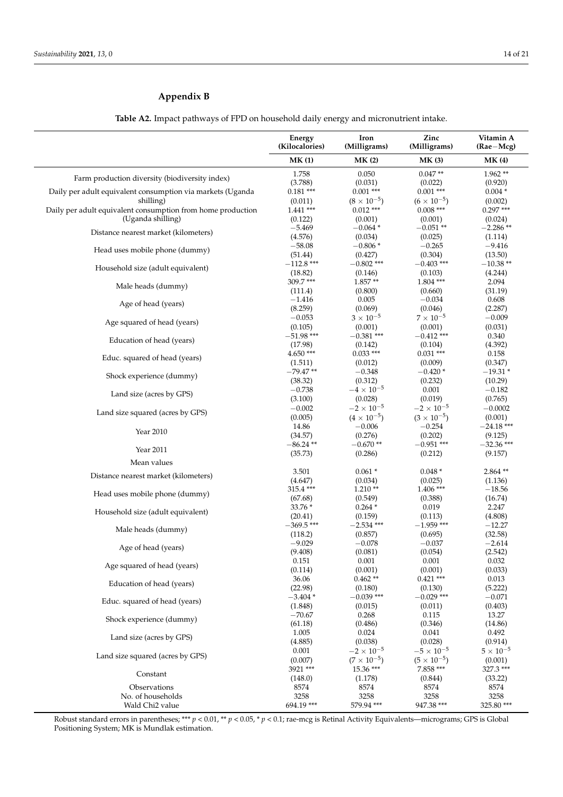### <span id="page-13-0"></span>**Appendix B**

**Table A2.** Impact pathways of FPD on household daily energy and micronutrient intake.

|                                                                          | Energy<br>(Kilocalories) | Iron<br>(Milligrams)                | Zinc<br>(Milligrams)               | Vitamin A<br>$(Rae-Mcg)$ |
|--------------------------------------------------------------------------|--------------------------|-------------------------------------|------------------------------------|--------------------------|
|                                                                          | MK(1)                    | MK(2)                               | MK(3)                              | <b>MK(4)</b>             |
| Farm production diversity (biodiversity index)                           | 1.758                    | 0.050                               | $0.047**$                          | $1.962**$                |
|                                                                          | (3.788)                  | (0.031)                             | (0.022)                            | (0.920)                  |
| Daily per adult equivalent consumption via markets (Uganda               | $0.181***$               | $0.001$ ***                         | $0.001$ ***                        | $0.004*$                 |
| shilling)<br>Daily per adult equivalent consumption from home production | (0.011)<br>$1.441$ ***   | $(8 \times 10^{-5})$<br>$0.012$ *** | $(6 \times 10^{-5})$<br>$0.008***$ | (0.002)<br>$0.297***$    |
| (Uganda shilling)                                                        | (0.122)                  | (0.001)                             | (0.001)                            | (0.024)                  |
|                                                                          | $-5.469$                 | $-0.064*$                           | $-0.051**$                         | $-2.286**$               |
| Distance nearest market (kilometers)                                     | (4.576)                  | (0.034)                             | (0.025)                            | (1.114)                  |
| Head uses mobile phone (dummy)                                           | $-58.08$                 | $-0.806*$                           | $-0.265$                           | $-9.416$                 |
|                                                                          | (51.44)<br>$-112.8$ ***  | (0.427)<br>$-0.802$ ***             | (0.304)<br>$-0.403$ ***            | (13.50)<br>$-10.38**$    |
| Household size (adult equivalent)                                        | (18.82)                  | (0.146)                             | (0.103)                            | (4.244)                  |
|                                                                          | 309.7***                 | $1.857**$                           | $1.804$ ***                        | 2.094                    |
| Male heads (dummy)                                                       | (111.4)                  | (0.800)                             | (0.660)                            | (31.19)                  |
| Age of head (years)                                                      | $-1.416$                 | 0.005                               | $-0.034$                           | 0.608                    |
|                                                                          | (8.259)                  | (0.069)                             | (0.046)                            | (2.287)                  |
| Age squared of head (years)                                              | $-0.053$                 | $3 \times 10^{-5}$                  | $7 \times 10^{-5}$                 | $-0.009$                 |
|                                                                          | (0.105)<br>$-51.98$ ***  | (0.001)<br>$-0.381$ ***             | (0.001)<br>$-0.412$ ***            | (0.031)<br>0.340         |
| Education of head (years)                                                | (17.98)                  | (0.142)                             | (0.104)                            | (4.392)                  |
|                                                                          | 4.650***                 | $0.033***$                          | $0.031$ ***                        | 0.158                    |
| Educ. squared of head (years)                                            | (1.511)                  | (0.012)                             | (0.009)                            | (0.347)                  |
| Shock experience (dummy)                                                 | $-79.47**$               | $-0.348$                            | $-0.420*$                          | $-19.31*$                |
|                                                                          | (38.32)                  | (0.312)                             | (0.232)                            | (10.29)                  |
| Land size (acres by GPS)                                                 | $-0.738$                 | $-4 \times 10^{-5}$                 | 0.001                              | $-0.182$                 |
|                                                                          | (3.100)                  | (0.028)<br>$-2 \times 10^{-5}$      | (0.019)<br>$-2 \times 10^{-5}$     | (0.765)                  |
| Land size squared (acres by GPS)                                         | $-0.002$<br>(0.005)      | $(4 \times 10^{-5})$                | $(3 \times 10^{-5})$               | $-0.0002$<br>(0.001)     |
|                                                                          | 14.86                    | $-0.006$                            | $-0.254$                           | $-24.18***$              |
| Year 2010                                                                | (34.57)                  | (0.276)                             | (0.202)                            | (9.125)                  |
| Year 2011                                                                | $-86.24**$               | $-0.670**$                          | $-0.951$ ***                       | $-32.36$ ***             |
|                                                                          | (35.73)                  | (0.286)                             | (0.212)                            | (9.157)                  |
| Mean values                                                              |                          |                                     |                                    |                          |
| Distance nearest market (kilometers)                                     | 3.501<br>(4.647)         | $0.061*$<br>(0.034)                 | $0.048*$<br>(0.025)                | $2.864**$<br>(1.136)     |
|                                                                          | 315.4 ***                | $1.210**$                           | $1.406$ ***                        | $-18.56$                 |
| Head uses mobile phone (dummy)                                           | (67.68)                  | (0.549)                             | (0.388)                            | (16.74)                  |
|                                                                          | 33.76 *                  | $0.264*$                            | 0.019                              | 2.247                    |
| Household size (adult equivalent)                                        | (20.41)                  | (0.159)                             | (0.113)                            | (4.808)                  |
| Male heads (dummy)                                                       | $-369.5$ ***             | $-2.534$ ***                        | $-1.959$ ***                       | $-12.27$                 |
|                                                                          | (118.2)                  | (0.857)                             | (0.695)                            | (32.58)                  |
| Age of head (years)                                                      | $-9.029$<br>(9.408)      | $-0.078$<br>(0.081)                 | $-0.037$<br>(0.054)                | $-2.614$<br>(2.542)      |
|                                                                          | 0.151                    | 0.001                               | 0.001                              | 0.032                    |
| Age squared of head (years)                                              | (0.114)                  | (0.001)                             | (0.001)                            | (0.033)                  |
| Education of head (years)                                                | 36.06                    | $0.462**$                           | $0.421$ ***                        | 0.013                    |
|                                                                          | (22.98)                  | (0.180)                             | (0.130)                            | (5.222)                  |
| Educ. squared of head (years)                                            | $-3.404*$                | $-0.039$ ***                        | $-0.029$ ***                       | $-0.071$                 |
|                                                                          | (1.848)<br>$-70.67$      | (0.015)<br>0.268                    | (0.011)<br>0.115                   | (0.403)<br>13.27         |
| Shock experience (dummy)                                                 | (61.18)                  | (0.486)                             | (0.346)                            | (14.86)                  |
|                                                                          | 1.005                    | 0.024                               | 0.041                              | 0.492                    |
| Land size (acres by GPS)                                                 | (4.885)                  | (0.038)                             | (0.028)                            | (0.914)                  |
| Land size squared (acres by GPS)                                         | 0.001                    | $-2 \times 10^{-5}$                 | $-5\times10^{-5}$                  | $5 \times 10^{-5}$       |
|                                                                          | (0.007)                  | $(7 \times 10^{-5})$                | $(5 \times 10^{-5})$               | (0.001)                  |
| Constant                                                                 | 3921 ***                 | $15.36***$                          | 7.858 ***                          | 327.3 ***                |
| Observations                                                             | (148.0)<br>8574          | (1.178)<br>8574                     | (0.844)<br>8574                    | (33.22)<br>8574          |
| No. of households                                                        | 3258                     | 3258                                | 3258                               | 3258                     |
| Wald Chi <sub>2</sub> value                                              | 694.19 ***               | 579.94 ***                          | 947.38 ***                         | 325.80***                |

Robust standard errors in parentheses; \*\*\* *p* < 0.01, \*\* *p* < 0.05, \* *p* < 0.1; rae-mcg is Retinal Activity Equivalents—micrograms; GPS is Global Positioning System; MK is Mundlak estimation.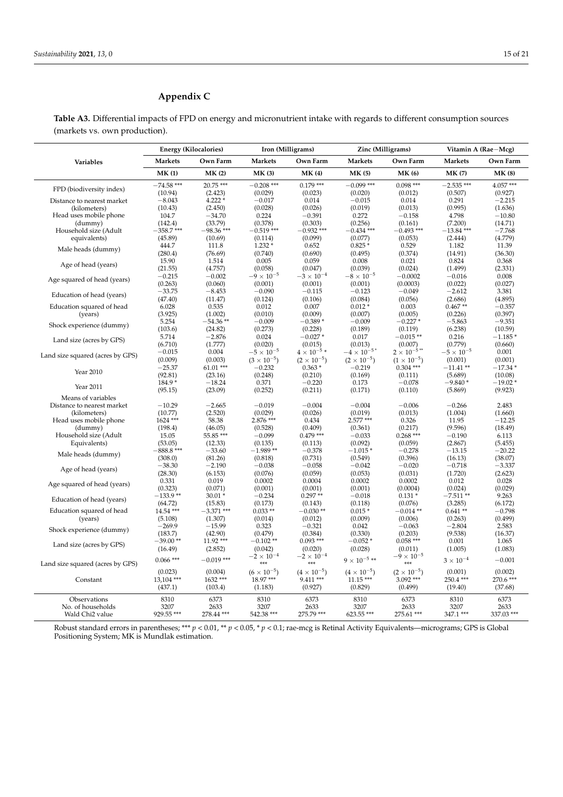### <span id="page-14-0"></span>**Appendix C**

**Table A3.** Differential impacts of FPD on energy and micronutrient intake with regards to different consumption sources (markets vs. own production).

|                                  |                | <b>Energy (Kilocalories)</b> | Iron (Milligrams)    |                      | Zinc (Milligrams)                |                       |                     | Vitamin A (Rae-Mcg) |
|----------------------------------|----------------|------------------------------|----------------------|----------------------|----------------------------------|-----------------------|---------------------|---------------------|
| Variables                        | <b>Markets</b> | Own Farm                     | <b>Markets</b>       | Own Farm             | <b>Markets</b>                   | Own Farm              | <b>Markets</b>      | Own Farm            |
|                                  | MK(1)          | MK(2)                        | MK(3)                | <b>MK (4)</b>        | <b>MK (5)</b>                    | <b>MK (6)</b>         | <b>MK(7)</b>        | <b>MK(8)</b>        |
| FPD (biodiversity index)         | $-74.58$ ***   | 20.75 ***                    | $-0.208$ ***         | $0.179***$           | $-0.099$ ***                     | $0.098$ ***           | $-2.535$ ***        | $4.057***$          |
|                                  | (10.94)        | (2.423)                      | (0.029)              | (0.023)              | (0.020)                          | (0.012)               | (0.507)             | (0.927)             |
| Distance to nearest market       | $-8.043$       | $4.222*$                     | $-0.017$             | 0.014                | $-0.015$                         | 0.014                 | 0.291               | $-2.215$            |
| (kilometers)                     | (10.43)        | (2.450)                      | (0.028)              | (0.026)              | (0.019)                          | (0.013)               | (0.995)             | (1.636)             |
| Head uses mobile phone           | 104.7          | $-34.70$                     | 0.224                | $-0.391$             | 0.272                            | $-0.158$              | 4.798               | $-10.80$            |
| (dummy)                          | (142.4)        | (33.79)                      | (0.378)              | (0.303)              | (0.256)                          | (0.161)               | (7.200)             | (14.71)             |
| Household size (Adult            | $-358.7$ ***   | $-98.36$ ***                 | $-0.519$ ***         | $-0.932$ ***         | $-0.434$ ***                     | $-0.493$ ***          | $-13.84$ ***        | $-7.768$            |
| equivalents)                     | (45.89)        | (10.69)                      | (0.114)              | (0.099)              | (0.077)                          | (0.053)               | (2.444)             | (4.779)             |
| Male heads (dummy)               | 444.7          | 111.8                        | $1.232*$             | 0.652                | $0.825*$                         | 0.529                 | 1.182               | 11.39               |
|                                  | (280.4)        | (76.69)                      | (0.740)              | (0.690)              | (0.495)                          | (0.374)               | (14.91)             | (36.30)             |
| Age of head (years)              | 15.90          | 1.514                        | 0.005                | 0.059                | 0.008                            | 0.021                 | 0.824               | 0.368               |
|                                  | (21.55)        | (4.757)                      | (0.058)              | (0.047)              | (0.039)                          | (0.024)               | (1.499)             | (2.331)             |
| Age squared of head (years)      | $-0.215$       | $-0.002$                     | $-9 \times 10^{-5}$  | $-3 \times 10^{-4}$  | $-8\times10^{-5}$                | $-0.0002$             | $-0.016$            | 0.008               |
|                                  | (0.263)        | (0.060)                      | (0.001)              | (0.001)              | (0.001)                          | (0.0003)              | (0.022)             | (0.027)             |
| Education of head (years)        | $-33.75$       | $-8.453$                     | $-0.090$             | $-0.115$             | $-0.123$                         | $-0.049$              | $-2.612$            | 3.381               |
|                                  | (47.40)        | (11.47)                      | (0.124)              | (0.106)              | (0.084)                          | (0.056)               | (2.686)             | (4.895)             |
| Education squared of head        | 6.028          | 0.535                        | 0.012                | 0.007                | $0.012*$                         | 0.003                 | $0.467**$           | $-0.357$            |
| (years)                          | (3.925)        | (1.002)                      | (0.010)              | (0.009)              | (0.007)                          | (0.005)               | (0.226)             | (0.397)             |
| Shock experience (dummy)         | 5.254          | $-54.36**$                   | $-0.009$             | $-0.389*$            | $-0.009$                         | $-0.227*$             | $-5.863$            | $-9.351$            |
|                                  | (103.6)        | (24.82)                      | (0.273)              | (0.228)              | (0.189)                          | (0.119)               | (6.238)             | (10.59)             |
| Land size (acres by GPS)         | 5.714          | $-2.876$                     | 0.024                | $-0.027*$            | 0.017                            | $-0.015**$            | 0.216               | $-1.185*$           |
|                                  | (6.710)        | (1.777)                      | (0.020)              | (0.015)              | (0.013)                          | (0.007)               | (0.779)             | (0.660)             |
| Land size squared (acres by GPS) | $-0.015$       | 0.004                        | $-5\times10^{-5}$    | $4 \times 10^{-5}$ * | $-4 \times 10^{-5}$ <sup>*</sup> | $2 \times 10^{-5}$ ** | $-5 \times 10^{-5}$ | 0.001               |
|                                  | (0.009)        | (0.003)                      | $(3 \times 10^{-5})$ | $(2 \times 10^{-5})$ | $(2 \times 10^{-5})$             | $(1 \times 10^{-5})$  | (0.001)             | (0.001)             |
|                                  | $-25.37$       | $61.01***$                   | $-0.232$             | $0.363*$             | $-0.219$                         | $0.304$ ***           | $-11.41**$          | $-17.34*$           |
| Year 2010                        | (92.81)        | (23.16)                      | (0.248)              | (0.210)              | (0.169)                          | (0.111)               | (5.689)             | (10.08)             |
|                                  | 184.9*         | $-18.24$                     | 0.371                | $-0.220$             | 0.173                            | $-0.078$              | $-9.840*$           | $-19.02*$           |
| Year 2011                        | (95.15)        | (23.09)                      | (0.252)              | (0.211)              | (0.171)                          | (0.110)               | (5.869)             | (9.923)             |
| Means of variables               |                |                              |                      |                      |                                  |                       |                     |                     |
| Distance to nearest market       | $-10.29$       | $-2.665$                     | $-0.019$             | $-0.004$             | $-0.004$                         | $-0.006$              | $-0.266$            | 2.483               |
| (kilometers)                     | (10.77)        | (2.520)                      | (0.029)              | (0.026)              | (0.019)                          | (0.013)               | (1.004)             | (1.660)             |
| Head uses mobile phone           | 1624 ***       | 58.38                        | 2.876 ***            | 0.434                | 2.577 ***                        | 0.326                 | 11.95               | $-12.25$            |
| (dummy)                          | (198.4)        | (46.05)                      | (0.528)              | (0.409)              | (0.361)                          | (0.217)               | (9.596)             | (18.49)             |
| Household size (Adult            | 15.05          | 55.85***                     | $-0.099$             | $0.479***$           | $-0.033$                         | $0.268***$            | $-0.190$            | 6.113               |
| Equivalents)                     | (53.05)        | (12.33)                      | (0.135)              | (0.113)              | (0.092)                          | (0.059)               | (2.867)             | (5.455)             |
|                                  | $-888.8$ ***   | $-33.60$                     | $-1.989**$           | $-0.378$             | $-1.015*$                        | $-0.278$              | $-13.15$            | $-20.22$            |
| Male heads (dummy)               | (308.0)        | (81.26)                      | (0.818)              | (0.731)              | (0.549)                          | (0.396)               | (16.13)             | (38.07)             |
|                                  | $-38.30$       | $-2.190$                     | $-0.038$             | $-0.058$             | $-0.042$                         | $-0.020$              | $-0.718$            | $-3.337$            |
| Age of head (years)              | (28.30)        | (6.153)                      | (0.076)              | (0.059)              | (0.053)                          | (0.031)               | (1.720)             | (2.623)             |
|                                  | 0.331          | 0.019                        | 0.0002               | 0.0004               | 0.0002                           | 0.0002                | 0.012               | 0.028               |
| Age squared of head (years)      | (0.323)        | (0.071)                      | (0.001)              | (0.001)              | (0.001)                          | (0.0004)              | (0.024)             | (0.029)             |
|                                  | $-133.9**$     | $30.01*$                     | $-0.234$             | $0.297**$            | $-0.018$                         | $0.131*$              | $-7.511**$          | 9.263               |
| Education of head (years)        | (64.72)        | (15.83)                      | (0.173)              | (0.143)              | (0.118)                          | (0.076)               | (3.285)             | (6.172)             |
| Education squared of head        | 14.54 ***      | $-3.371$ ***                 | $0.033**$            | $-0.030**$           | $0.015*$                         | $-0.014**$            | $0.641**$           | $-0.798$            |
| (years)                          | (5.108)        | (1.307)                      | (0.014)              | (0.012)              | (0.009)                          | (0.006)               | (0.263)             | (0.499)             |
|                                  | $-269.9$       | $-15.99$                     | 0.323                | $-0.321$             | 0.042                            | $-0.063$              | $-2.804$            | 2.583               |
| Shock experience (dummy)         | (183.7)        | (42.90)                      | (0.479)              | (0.384)              | (0.330)                          | (0.203)               | (9.538)             | (16.37)             |
|                                  | $-39.00**$     | 11.92***                     | $-0.102**$           | $0.093$ ***          | $-0.052*$                        | $0.058$ ***           | 0.001               | 1.065               |
| Land size (acres by GPS)         | (16.49)        | (2.852)                      | (0.042)              | (0.020)              | (0.028)                          | (0.011)               | (1.005)             | (1.083)             |
|                                  |                |                              | $-2 \times 10^{-4}$  | $-2 \times 10^{-4}$  |                                  | $-9 \times 10^{-5}$   |                     |                     |
| Land size squared (acres by GPS) | $0.066$ ***    | $-0.019$ ***                 | ***                  | ***                  | $9 \times 10^{-5}$ **            | $***$                 | $3 \times 10^{-4}$  | $-0.001$            |
|                                  | (0.023)        | (0.004)                      | $(6 \times 10^{-5})$ | $(4 \times 10^{-5})$ | $(4 \times 10^{-5})$             | $(2 \times 10^{-5})$  | (0.001)             | (0.002)             |
| Constant                         | 13,104 ***     | 1632***                      | 18.97***             | 9.411 ***            | $11.15***$                       | $3.092$ ***           | 250.4 ***           | 270.6 ***           |
|                                  | (437.1)        | (103.4)                      | (1.183)              | (0.927)              | (0.829)                          | (0.499)               | (19.40)             | (37.68)             |
| Observations                     | 8310           | 6373                         | 8310                 | 6373                 | 8310                             | 6373                  | 8310                | 6373                |
| No. of households                | 3207           | 2633                         | 3207                 | 2633                 | 3207                             | 2633                  | 3207                | 2633                |
| Wald Chi <sub>2</sub> value      | 929.55 ***     | 278.44 ***                   | 542.38 ***           | 275.79 ***           | 623.55 ***                       | 275.61 ***            | 347.1 ***           | 337.03 ***          |

Robust standard errors in parentheses; \*\*\* *p* < 0.01, \*\* *p* < 0.05, \* *p* < 0.1; rae-mcg is Retinal Activity Equivalents—micrograms; GPS is Global Positioning System; MK is Mundlak estimation.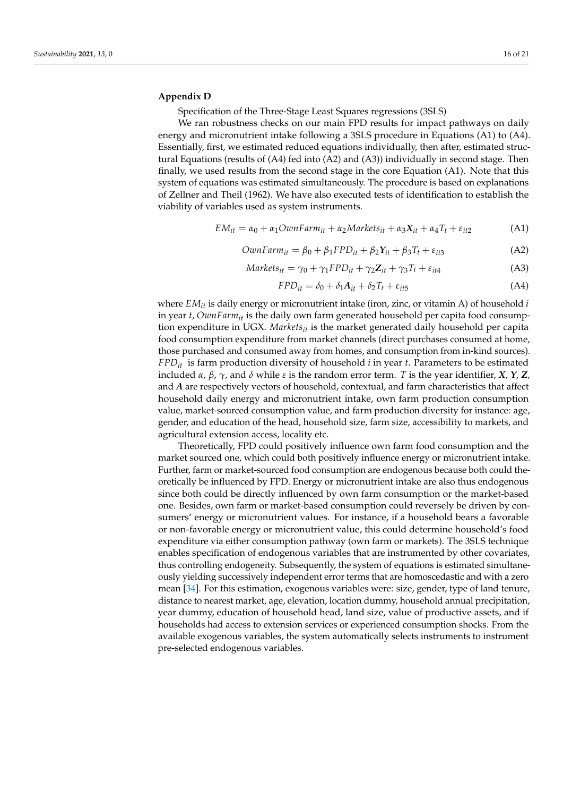### <span id="page-15-0"></span>**Appendix D**

Specification of the Three-Stage Least Squares regressions (3SLS)

We ran robustness checks on our main FPD results for impact pathways on daily energy and micronutrient intake following a 3SLS procedure in Equations (A1) to (A4). Essentially, first, we estimated reduced equations individually, then after, estimated structural Equations (results of (A4) fed into (A2) and (A3)) individually in second stage. Then finally, we used results from the second stage in the core Equation (A1). Note that this system of equations was estimated simultaneously. The procedure is based on explanations of Zellner and Theil (1962). We have also executed tests of identification to establish the viability of variables used as system instruments.

$$
EM_{it} = \alpha_0 + \alpha_1 OwnFarm_{it} + \alpha_2 Markets_{it} + \alpha_3 X_{it} + \alpha_4 T_t + \varepsilon_{it2}
$$
 (A1)

$$
OwnFarm_{it} = \beta_0 + \beta_1 FPD_{it} + \beta_2 Y_{it} + \beta_3 T_t + \varepsilon_{it3}
$$
 (A2)

$$
Markets_{it} = \gamma_0 + \gamma_1 FPD_{it} + \gamma_2 \mathbf{Z}_{it} + \gamma_3 T_t + \varepsilon_{it4}
$$
\n(A3)

$$
FPD_{it} = \delta_0 + \delta_1 A_{it} + \delta_2 T_t + \varepsilon_{it5}
$$
 (A4)

where *EMit* is daily energy or micronutrient intake (iron, zinc, or vitamin A) of household *i* in year *t*, *OwnFarmit* is the daily own farm generated household per capita food consumption expenditure in UGX. *Marketsit* is the market generated daily household per capita food consumption expenditure from market channels (direct purchases consumed at home, those purchased and consumed away from homes, and consumption from in-kind sources). *FPDit* is farm production diversity of household *i* in year *t*. Parameters to be estimated included *α*, *β*, *γ*, and *δ* while *ε* is the random error term. *T* is the year identifier, *X*, *Y*, *Z*, and *A* are respectively vectors of household, contextual, and farm characteristics that affect household daily energy and micronutrient intake, own farm production consumption value, market-sourced consumption value, and farm production diversity for instance: age, gender, and education of the head, household size, farm size, accessibility to markets, and agricultural extension access, locality etc.

Theoretically, FPD could positively influence own farm food consumption and the market sourced one, which could both positively influence energy or micronutrient intake. Further, farm or market-sourced food consumption are endogenous because both could theoretically be influenced by FPD. Energy or micronutrient intake are also thus endogenous since both could be directly influenced by own farm consumption or the market-based one. Besides, own farm or market-based consumption could reversely be driven by consumers' energy or micronutrient values. For instance, if a household bears a favorable or non-favorable energy or micronutrient value, this could determine household's food expenditure via either consumption pathway (own farm or markets). The 3SLS technique enables specification of endogenous variables that are instrumented by other covariates, thus controlling endogeneity. Subsequently, the system of equations is estimated simultaneously yielding successively independent error terms that are homoscedastic and with a zero mean [\[34\]](#page-20-25). For this estimation, exogenous variables were: size, gender, type of land tenure, distance to nearest market, age, elevation, location dummy, household annual precipitation, year dummy, education of household head, land size, value of productive assets, and if households had access to extension services or experienced consumption shocks. From the available exogenous variables, the system automatically selects instruments to instrument pre-selected endogenous variables.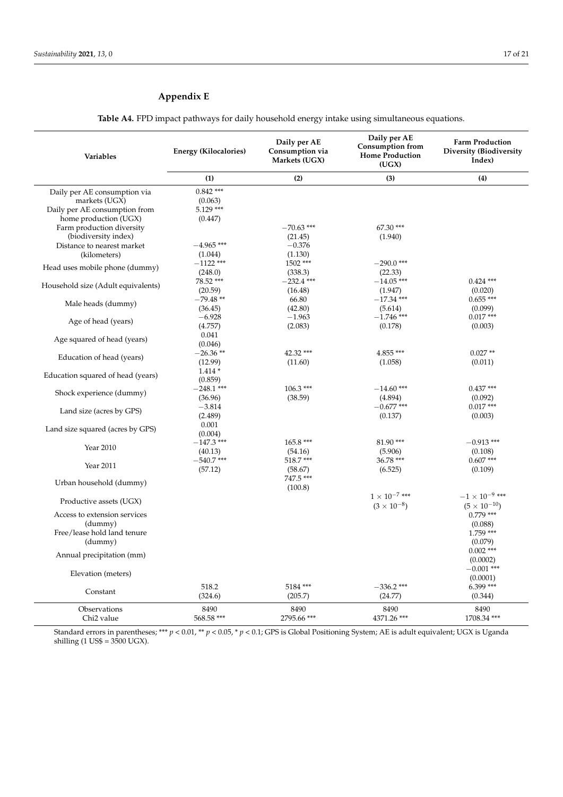### <span id="page-16-0"></span>**Appendix E**

**Table A4.** FPD impact pathways for daily household energy intake using simultaneous equations.

| Variables                                                                                               | Energy (Kilocalories)                            | Daily per AE<br>Consumption via<br>Markets (UGX) | Daily per AE<br><b>Consumption from</b><br><b>Home Production</b><br>(UGX) | <b>Farm Production</b><br>Diversity (Biodiversity<br>Index) |
|---------------------------------------------------------------------------------------------------------|--------------------------------------------------|--------------------------------------------------|----------------------------------------------------------------------------|-------------------------------------------------------------|
|                                                                                                         | (1)                                              | (2)                                              | (3)                                                                        | (4)                                                         |
| Daily per AE consumption via<br>markets (UGX)<br>Daily per AE consumption from<br>home production (UGX) | $0.842$ ***<br>(0.063)<br>$5.129$ ***<br>(0.447) |                                                  |                                                                            |                                                             |
| Farm production diversity<br>(biodiversity index)                                                       |                                                  | $-70.63$ ***<br>(21.45)                          | 67.30 ***<br>(1.940)                                                       |                                                             |
| Distance to nearest market<br>(kilometers)                                                              | $-4.965$ ***<br>(1.044)<br>$-1122$ ***           | $-0.376$<br>(1.130)<br>1502 ***                  | $-290.0$ ***                                                               |                                                             |
| Head uses mobile phone (dummy)                                                                          | (248.0)<br>78.52 ***                             | (338.3)<br>$-232.4$ ***                          | (22.33)<br>$-14.05***$                                                     | $0.424$ ***                                                 |
| Household size (Adult equivalents)                                                                      | (20.59)<br>$-79.48**$                            | (16.48)<br>66.80                                 | (1.947)<br>$-17.34$ ***                                                    | (0.020)<br>$0.655***$                                       |
| Male heads (dummy)                                                                                      | (36.45)<br>$-6.928$                              | (42.80)<br>$-1.963$                              | (5.614)<br>$-1.746$ ***                                                    | (0.099)<br>$0.017***$                                       |
| Age of head (years)                                                                                     | (4.757)<br>0.041                                 | (2.083)                                          | (0.178)                                                                    | (0.003)                                                     |
| Age squared of head (years)                                                                             | (0.046)<br>$-26.36**$                            | 42.32 ***                                        | $4.855***$                                                                 | $0.027**$                                                   |
| Education of head (years)                                                                               | (12.99)<br>$1.414*$                              | (11.60)                                          | (1.058)                                                                    | (0.011)                                                     |
| Education squared of head (years)                                                                       | (0.859)<br>$-248.1$ ***                          | $106.3***$                                       | $-14.60$ ***                                                               | $0.437***$                                                  |
| Shock experience (dummy)                                                                                | (36.96)<br>$-3.814$                              | (38.59)                                          | (4.894)<br>$-0.677$ ***                                                    | (0.092)<br>$0.017***$                                       |
| Land size (acres by GPS)<br>Land size squared (acres by GPS)                                            | (2.489)<br>0.001                                 |                                                  | (0.137)                                                                    | (0.003)                                                     |
| Year 2010                                                                                               | (0.004)<br>$-147.3$ ***<br>(40.13)               | $165.8***$<br>(54.16)                            | 81.90***<br>(5.906)                                                        | $-0.913$ ***<br>(0.108)                                     |
| Year 2011                                                                                               | $-540.7$ ***<br>(57.12)                          | 518.7***<br>(58.67)                              | 36.78 ***<br>(6.525)                                                       | $0.607***$<br>(0.109)                                       |
| Urban household (dummy)                                                                                 |                                                  | 747.5 ***<br>(100.8)                             | $1 \times 10^{-7}$ ***                                                     | $-1 \times 10^{-9}$ ***                                     |
| Productive assets (UGX)                                                                                 |                                                  |                                                  | $(3 \times 10^{-8})$                                                       | $(5 \times 10^{-10})$                                       |
| Access to extension services<br>(dummy)<br>Free/lease hold land tenure                                  |                                                  |                                                  |                                                                            | $0.779$ ***<br>(0.088)<br>$1.759$ ***                       |
| (dummy)<br>Annual precipitation (mm)                                                                    |                                                  |                                                  |                                                                            | (0.079)<br>$0.002$ ***                                      |
| Elevation (meters)                                                                                      |                                                  |                                                  |                                                                            | (0.0002)<br>$-0.001$ ***                                    |
| Constant                                                                                                | 518.2<br>(324.6)                                 | 5184***<br>(205.7)                               | $-336.2$ ***<br>(24.77)                                                    | (0.0001)<br>$6.399***$<br>(0.344)                           |
| Observations<br>Chi <sub>2</sub> value                                                                  | 8490<br>568.58 ***                               | 8490<br>2795.66 ***                              | 8490<br>4371.26 ***                                                        | 8490<br>1708.34 ***                                         |

Standard errors in parentheses; \*\*\* *p* < 0.01, \*\* *p* < 0.05, \* *p* < 0.1; GPS is Global Positioning System; AE is adult equivalent; UGX is Uganda shilling (1 US\$ = 3500 UGX).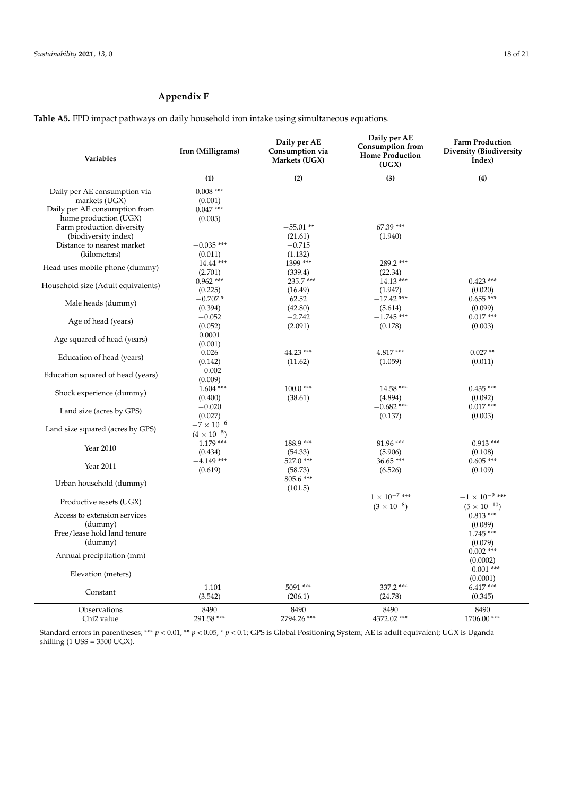### <span id="page-17-0"></span>**Appendix F**

**Table A5.** FPD impact pathways on daily household iron intake using simultaneous equations.

| Variables                                          | Iron (Milligrams)                           | Daily per AE<br>Consumption via<br>Markets (UGX) | Daily per AE<br><b>Consumption from</b><br><b>Home Production</b><br>(UGX) | <b>Farm Production</b><br>Diversity (Biodiversity<br>Index) |
|----------------------------------------------------|---------------------------------------------|--------------------------------------------------|----------------------------------------------------------------------------|-------------------------------------------------------------|
|                                                    | (1)                                         | (2)                                              | (3)                                                                        | (4)                                                         |
| Daily per AE consumption via<br>markets (UGX)      | $0.008$ ***<br>(0.001)                      |                                                  |                                                                            |                                                             |
| Daily per AE consumption from                      | $0.047***$                                  |                                                  |                                                                            |                                                             |
| home production (UGX)<br>Farm production diversity | (0.005)                                     | $-55.01**$                                       | 67.39 ***                                                                  |                                                             |
| (biodiversity index)                               |                                             | (21.61)                                          | (1.940)                                                                    |                                                             |
| Distance to nearest market                         | $-0.035$ ***                                | $-0.715$                                         |                                                                            |                                                             |
| (kilometers)                                       | (0.011)<br>$-14.44$ ***                     | (1.132)<br>1399 ***                              | $-289.2$ ***                                                               |                                                             |
| Head uses mobile phone (dummy)                     | (2.701)                                     | (339.4)                                          | (22.34)                                                                    |                                                             |
| Household size (Adult equivalents)                 | $0.962$ ***                                 | $-235.7$ ***                                     | $-14.13***$                                                                | $0.423$ ***                                                 |
|                                                    | (0.225)<br>$-0.707*$                        | (16.49)<br>62.52                                 | (1.947)<br>$-17.42$ ***                                                    | (0.020)<br>$0.655***$                                       |
| Male heads (dummy)                                 | (0.394)                                     | (42.80)                                          | (5.614)                                                                    | (0.099)                                                     |
| Age of head (years)                                | $-0.052$                                    | $-2.742$                                         | $-1.745$ ***                                                               | $0.017***$                                                  |
|                                                    | (0.052)<br>0.0001                           | (2.091)                                          | (0.178)                                                                    | (0.003)                                                     |
| Age squared of head (years)                        | (0.001)                                     |                                                  |                                                                            |                                                             |
| Education of head (years)                          | 0.026                                       | 44.23 ***                                        | 4.817***                                                                   | $0.027**$                                                   |
|                                                    | (0.142)<br>$-0.002$                         | (11.62)                                          | (1.059)                                                                    | (0.011)                                                     |
| Education squared of head (years)                  | (0.009)                                     |                                                  |                                                                            |                                                             |
| Shock experience (dummy)                           | $-1.604$ ***                                | $100.0***$                                       | $-14.58$ ***                                                               | $0.435***$                                                  |
|                                                    | (0.400)                                     | (38.61)                                          | (4.894)<br>$-0.682$ ***                                                    | (0.092)<br>$0.017***$                                       |
| Land size (acres by GPS)                           | $-0.020$<br>(0.027)                         |                                                  | (0.137)                                                                    | (0.003)                                                     |
| Land size squared (acres by GPS)                   | $-7 \times 10^{-6}$<br>$(4 \times 10^{-5})$ |                                                  |                                                                            |                                                             |
| Year 2010                                          | $-1.179$ ***<br>(0.434)                     | 188.9***<br>(54.33)                              | 81.96 ***<br>(5.906)                                                       | $-0.913$ ***<br>(0.108)                                     |
| Year 2011                                          | $-4.149$ ***<br>(0.619)                     | 527.0 ***<br>(58.73)                             | 36.65***<br>(6.526)                                                        | $0.605***$<br>(0.109)                                       |
| Urban household (dummy)                            |                                             | 805.6***<br>(101.5)                              |                                                                            |                                                             |
| Productive assets (UGX)                            |                                             |                                                  | $1\times10^{-7}$ ***                                                       | $-1 \times 10^{-9}$ ***                                     |
|                                                    |                                             |                                                  | $(3 \times 10^{-8})$                                                       | $(5 \times 10^{-10})$                                       |
| Access to extension services<br>(dummy)            |                                             |                                                  |                                                                            | $0.813***$<br>(0.089)                                       |
| Free/lease hold land tenure                        |                                             |                                                  |                                                                            | $1.745***$                                                  |
| (dummy)                                            |                                             |                                                  |                                                                            | (0.079)                                                     |
| Annual precipitation (mm)                          |                                             |                                                  |                                                                            | $0.002$ ***<br>(0.0002)                                     |
| Elevation (meters)                                 |                                             |                                                  |                                                                            | $-0.001$ ***<br>(0.0001)                                    |
|                                                    | $-1.101$                                    | 5091 ***                                         | $-337.2$ ***                                                               | $6.417***$                                                  |
| Constant                                           | (3.542)                                     | (206.1)                                          | (24.78)                                                                    | (0.345)                                                     |
| Observations<br>Chi <sub>2</sub> value             | 8490<br>291.58 ***                          | 8490<br>2794.26 ***                              | 8490<br>4372.02 ***                                                        | 8490<br>1706.00 ***                                         |

Standard errors in parentheses; \*\*\* *p* < 0.01, \*\* *p* < 0.05, \* *p* < 0.1; GPS is Global Positioning System; AE is adult equivalent; UGX is Uganda shilling (1 US\$ = 3500 UGX).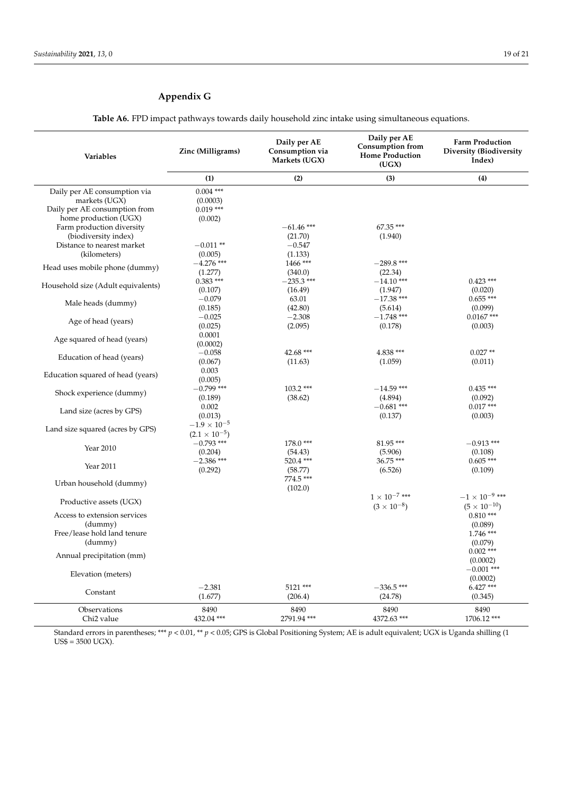## <span id="page-18-0"></span>**Appendix G**

**Table A6.** FPD impact pathways towards daily household zinc intake using simultaneous equations.

| Variables                          | Daily per AE<br>Zinc (Milligrams)<br>Consumption via<br>Markets (UGX) |              | Daily per AE<br><b>Consumption from</b><br><b>Home Production</b><br>(UGX) | <b>Farm Production</b><br>Diversity (Biodiversity<br>Index) |
|------------------------------------|-----------------------------------------------------------------------|--------------|----------------------------------------------------------------------------|-------------------------------------------------------------|
|                                    | (1)                                                                   | (2)          | (3)                                                                        | (4)                                                         |
| Daily per AE consumption via       | $0.004$ ***                                                           |              |                                                                            |                                                             |
| markets (UGX)                      | (0.0003)                                                              |              |                                                                            |                                                             |
| Daily per AE consumption from      | $0.019***$                                                            |              |                                                                            |                                                             |
| home production (UGX)              | (0.002)                                                               |              |                                                                            |                                                             |
| Farm production diversity          |                                                                       | $-61.46$ *** | 67.35 ***                                                                  |                                                             |
| (biodiversity index)               |                                                                       | (21.70)      | (1.940)                                                                    |                                                             |
| Distance to nearest market         | $-0.011**$                                                            | $-0.547$     |                                                                            |                                                             |
| (kilometers)                       | (0.005)                                                               | (1.133)      |                                                                            |                                                             |
| Head uses mobile phone (dummy)     | $-4.276$ ***                                                          | 1466 ***     | $-289.8$ ***                                                               |                                                             |
|                                    | (1.277)                                                               | (340.0)      | (22.34)                                                                    |                                                             |
| Household size (Adult equivalents) | $0.383$ ***                                                           | $-235.3$ *** | $-14.10***$                                                                | $0.423$ ***                                                 |
|                                    | (0.107)                                                               | (16.49)      | (1.947)                                                                    | (0.020)                                                     |
| Male heads (dummy)                 | $-0.079$                                                              | 63.01        | $-17.38$ ***                                                               | $0.655***$                                                  |
|                                    | (0.185)                                                               | (42.80)      | (5.614)                                                                    | (0.099)                                                     |
| Age of head (years)                | $-0.025$                                                              | $-2.308$     | $-1.748$ ***                                                               | $0.0167$ ***                                                |
|                                    | (0.025)                                                               | (2.095)      | (0.178)                                                                    | (0.003)                                                     |
| Age squared of head (years)        | 0.0001                                                                |              |                                                                            |                                                             |
|                                    | (0.0002)                                                              |              |                                                                            |                                                             |
| Education of head (years)          | $-0.058$                                                              | 42.68 ***    | 4.838 ***                                                                  | $0.027**$                                                   |
|                                    | (0.067)                                                               | (11.63)      | (1.059)                                                                    | (0.011)                                                     |
| Education squared of head (years)  | 0.003                                                                 |              |                                                                            |                                                             |
|                                    | (0.005)                                                               |              |                                                                            |                                                             |
| Shock experience (dummy)           | $-0.799$ ***                                                          | $103.2***$   | $-14.59$ ***                                                               | $0.435***$                                                  |
|                                    | (0.189)                                                               | (38.62)      | (4.894)                                                                    | (0.092)                                                     |
| Land size (acres by GPS)           | 0.002                                                                 |              | $-0.681$ ***                                                               | $0.017***$                                                  |
|                                    | (0.013)                                                               |              | (0.137)                                                                    | (0.003)                                                     |
| Land size squared (acres by GPS)   | $-1.9 \times 10^{-5}$                                                 |              |                                                                            |                                                             |
|                                    | $(2.1 \times 10^{-5})$                                                |              |                                                                            |                                                             |
| Year 2010                          | $-0.793$ ***                                                          | 178.0***     | 81.95***                                                                   | $-0.913$ ***                                                |
|                                    | (0.204)                                                               | (54.43)      | (5.906)                                                                    | (0.108)                                                     |
| Year 2011                          | $-2.386$ ***                                                          | 520.4 ***    | 36.75 ***                                                                  | $0.605***$                                                  |
|                                    | (0.292)                                                               | (58.77)      | (6.526)                                                                    | (0.109)                                                     |
| Urban household (dummy)            |                                                                       | 774.5 ***    |                                                                            |                                                             |
|                                    |                                                                       | (102.0)      |                                                                            |                                                             |
| Productive assets (UGX)            |                                                                       |              | $1 \times 10^{-7}$ ***                                                     | $-1\times10^{-9}$ ***                                       |
|                                    |                                                                       |              | $(3 \times 10^{-8})$                                                       | $(5 \times 10^{-10})$                                       |
| Access to extension services       |                                                                       |              |                                                                            | $0.810***$                                                  |
| (dummy)                            |                                                                       |              |                                                                            | (0.089)                                                     |
| Free/lease hold land tenure        |                                                                       |              |                                                                            | $1.746$ ***                                                 |
| (dummy)                            |                                                                       |              |                                                                            | (0.079)                                                     |
| Annual precipitation (mm)          |                                                                       |              |                                                                            | $0.002$ ***                                                 |
|                                    |                                                                       |              |                                                                            | (0.0002)                                                    |
| Elevation (meters)                 |                                                                       |              |                                                                            | $-0.001$ ***                                                |
|                                    |                                                                       |              |                                                                            | (0.0002)                                                    |
| Constant                           | $-2.381$                                                              | 5121 ***     | $-336.5$ ***                                                               | $6.427***$                                                  |
|                                    | (1.677)                                                               | (206.4)      | (24.78)                                                                    | (0.345)                                                     |
| Observations                       | 8490                                                                  | 8490         | 8490                                                                       | 8490                                                        |
| Chi <sub>2</sub> value             | 432.04 ***                                                            | 2791.94 ***  | 4372.63 ***                                                                | 1706.12***                                                  |

Standard errors in parentheses; \*\*\* *p* < 0.01, \*\* *p* < 0.05; GPS is Global Positioning System; AE is adult equivalent; UGX is Uganda shilling (1 US\$ = 3500 UGX).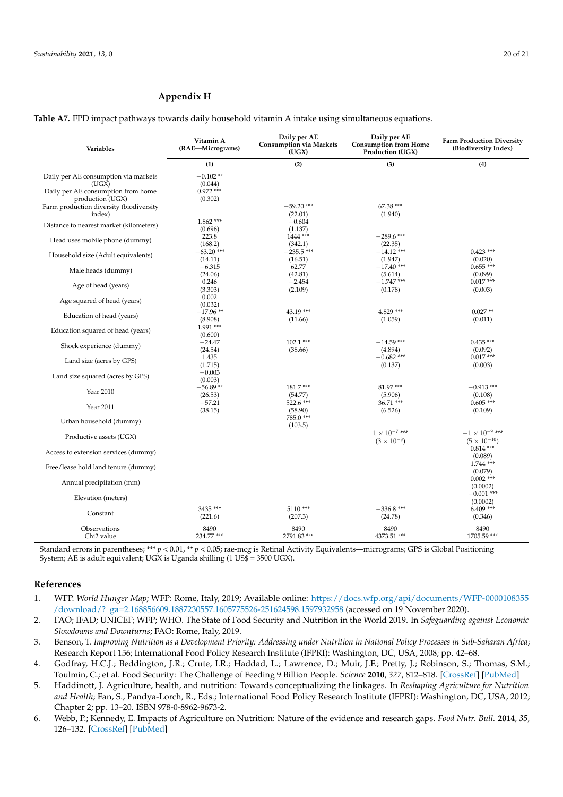### <span id="page-19-6"></span>**Appendix H**

**Table A7.** FPD impact pathways towards daily household vitamin A intake using simultaneous equations.

| Variables                                                                           | Vitamin A<br>(RAE-Micrograms)        | Daily per AE<br><b>Consumption via Markets</b><br>(UGX) | Daily per AE<br><b>Consumption from Home</b><br>Production (UGX) | <b>Farm Production Diversity</b><br>(Biodiversity Index)        |
|-------------------------------------------------------------------------------------|--------------------------------------|---------------------------------------------------------|------------------------------------------------------------------|-----------------------------------------------------------------|
|                                                                                     | (1)                                  | (2)                                                     | (3)                                                              | (4)                                                             |
| Daily per AE consumption via markets<br>(UGX)<br>Daily per AE consumption from home | $-0.102**$<br>(0.044)<br>$0.972$ *** |                                                         |                                                                  |                                                                 |
| production (UGX)                                                                    | (0.302)                              |                                                         |                                                                  |                                                                 |
| Farm production diversity (biodiversity<br>index)                                   |                                      | $-59.20$ ***<br>(22.01)                                 | 67.38 ***<br>(1.940)                                             |                                                                 |
| Distance to nearest market (kilometers)                                             | $1.862***$<br>(0.696)                | $-0.604$<br>(1.137)                                     |                                                                  |                                                                 |
| Head uses mobile phone (dummy)                                                      | 223.8<br>(168.2)                     | 1444 ***<br>(342.1)                                     | $-289.6$ ***<br>(22.35)                                          |                                                                 |
| Household size (Adult equivalents)                                                  | $-63.20$ ***<br>(14.11)              | $-235.5$ ***<br>(16.51)                                 | $-14.12$ ***<br>(1.947)                                          | $0.423$ ***<br>(0.020)                                          |
| Male heads (dummy)                                                                  | $-6.315$<br>(24.06)                  | 62.77<br>(42.81)                                        | $-17.40$ ***<br>(5.614)                                          | $0.655***$<br>(0.099)                                           |
| Age of head (years)                                                                 | 0.246<br>(3.303)                     | $-2.454$<br>(2.109)                                     | $-1.747$ ***<br>(0.178)                                          | $0.017***$<br>(0.003)                                           |
| Age squared of head (years)                                                         | 0.002<br>(0.032)                     |                                                         |                                                                  |                                                                 |
| Education of head (years)                                                           | $-17.96**$<br>(8.908)                | 43.19 ***<br>(11.66)                                    | 4.829 ***<br>(1.059)                                             | $0.027**$<br>(0.011)                                            |
| Education squared of head (years)                                                   | 1.991 ***<br>(0.600)                 |                                                         |                                                                  |                                                                 |
| Shock experience (dummy)                                                            | $-24.47$<br>(24.54)                  | $102.1***$<br>(38.66)                                   | $-14.59$ ***<br>(4.894)                                          | $0.435***$<br>(0.092)                                           |
| Land size (acres by GPS)                                                            | 1.435<br>(1.715)                     |                                                         | $-0.682$ ***<br>(0.137)                                          | $0.017***$<br>(0.003)                                           |
| Land size squared (acres by GPS)                                                    | $-0.003$<br>(0.003)                  |                                                         |                                                                  |                                                                 |
| Year 2010                                                                           | $-56.89**$<br>(26.53)                | 181.7***<br>(54.77)                                     | 81.97***<br>(5.906)                                              | $-0.913$ ***<br>(0.108)                                         |
| Year 2011                                                                           | $-57.21$<br>(38.15)                  | 522.6 ***<br>(58.90)                                    | 36.71 ***<br>(6.526)                                             | $0.605***$<br>(0.109)                                           |
| Urban household (dummy)                                                             |                                      | 785.0***<br>(103.5)                                     |                                                                  |                                                                 |
| Productive assets (UGX)                                                             |                                      |                                                         | $1 \times 10^{-7}$ ***<br>$(3 \times 10^{-8})$                   | $-1$ $\times$ $10^{-9}$ $\ast\ast\ast$<br>$(5 \times 10^{-10})$ |
| Access to extension services (dummy)                                                |                                      |                                                         |                                                                  | $0.814***$<br>(0.089)                                           |
| Free/lease hold land tenure (dummy)                                                 |                                      |                                                         |                                                                  | $1.744$ ***<br>(0.079)                                          |
| Annual precipitation (mm)                                                           |                                      |                                                         |                                                                  | $0.002$ ***<br>(0.0002)                                         |
| Elevation (meters)                                                                  |                                      |                                                         |                                                                  | $-0.001$ ***<br>(0.0002)                                        |
| Constant                                                                            | 3435 ***<br>(221.6)                  | 5110***<br>(207.3)                                      | $-336.8$ ***<br>(24.78)                                          | $6.409***$<br>(0.346)                                           |
| Observations<br>Chi <sub>2</sub> value                                              | 8490<br>234.77 ***                   | 8490<br>2791.83***                                      | 8490<br>4373.51 ***                                              | 8490<br>1705.59 ***                                             |

Standard errors in parentheses; \*\*\* *p* < 0.01, \*\* *p* < 0.05; rae-mcg is Retinal Activity Equivalents—micrograms; GPS is Global Positioning System; AE is adult equivalent; UGX is Uganda shilling  $(1 \text{ US} \frac{1}{2} = 3500 \text{ UGX})$ .

#### **References**

- <span id="page-19-0"></span>1. WFP. *World Hunger Map*; WFP: Rome, Italy, 2019; Available online: [https://docs.wfp.org/api/documents/WFP-0000108355](https://docs.wfp.org/api/documents/WFP-0000108355/download/?_ga=2.168856609.1887230557.1605775526-251624598.1597932958) [/download/?\\_ga=2.168856609.1887230557.1605775526-251624598.1597932958](https://docs.wfp.org/api/documents/WFP-0000108355/download/?_ga=2.168856609.1887230557.1605775526-251624598.1597932958) (accessed on 19 November 2020).
- <span id="page-19-1"></span>2. FAO; IFAD; UNICEF; WFP; WHO. The State of Food Security and Nutrition in the World 2019. In *Safeguarding against Economic Slowdowns and Downturns*; FAO: Rome, Italy, 2019.
- <span id="page-19-2"></span>3. Benson, T. *Improving Nutrition as a Development Priority: Addressing under Nutrition in National Policy Processes in Sub-Saharan Africa*; Research Report 156; International Food Policy Research Institute (IFPRI): Washington, DC, USA, 2008; pp. 42–68.
- <span id="page-19-4"></span>4. Godfray, H.C.J.; Beddington, J.R.; Crute, I.R.; Haddad, L.; Lawrence, D.; Muir, J.F.; Pretty, J.; Robinson, S.; Thomas, S.M.; Toulmin, C.; et al. Food Security: The Challenge of Feeding 9 Billion People. *Science* **2010**, *327*, 812–818. [\[CrossRef\]](http://doi.org/10.1126/science.1185383) [\[PubMed\]](http://www.ncbi.nlm.nih.gov/pubmed/20110467)
- <span id="page-19-5"></span>5. Haddinott, J. Agriculture, health, and nutrition: Towards conceptualizing the linkages. In *Reshaping Agriculture for Nutrition and Health*; Fan, S., Pandya-Lorch, R., Eds.; International Food Policy Research Institute (IFPRI): Washington, DC, USA, 2012; Chapter 2; pp. 13–20. ISBN 978-0-8962-9673-2.
- <span id="page-19-3"></span>6. Webb, P.; Kennedy, E. Impacts of Agriculture on Nutrition: Nature of the evidence and research gaps. *Food Nutr. Bull.* **2014**, *35*, 126–132. [\[CrossRef\]](http://doi.org/10.1177/156482651403500113) [\[PubMed\]](http://www.ncbi.nlm.nih.gov/pubmed/24791585)